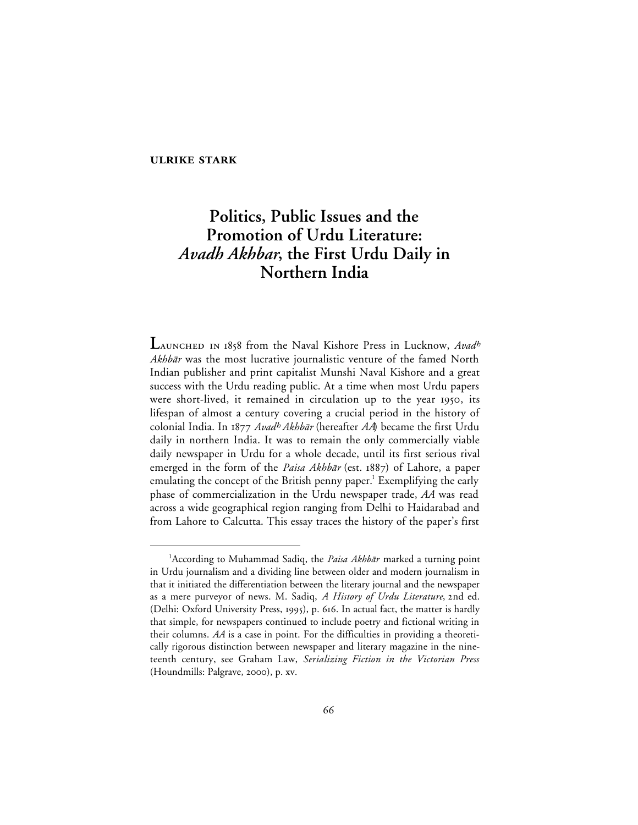# **ULRIKE STARK**

# **Politics, Public Issues and the Promotion of Urdu Literature:** *Avadh Akhbar***, the First Urdu Daily in Northern India**

LAUNCHED IN 1858 from the Naval Kishore Press in Lucknow, Avadh Akhbār was the most lucrative journalistic venture of the famed North Indian publisher and print capitalist Munshi Naval Kishore and a great success with the Urdu reading public. At a time when most Urdu papers were short-lived, it remained in circulation up to the year 1950, its lifespan of almost a century covering a crucial period in the history of colonial India. In 1877 Avad<sup>h</sup> Akhbār (hereafter *AA*) became the first Urdu daily in northern India. It was to remain the only commercially viable daily newspaper in Urdu for a whole decade, until its first serious rival emerged in the form of the *Paisa Akhbār* (est. 1887) of Lahore, a paper emulating the concept of the British penny paper.<sup>1</sup> Exemplifying the early phase of commercialization in the Urdu newspaper trade, *AA* was read across a wide geographical region ranging from Delhi to Haidarabad and from Lahore to Calcutta. This essay traces the history of the paper's first

 $\overline{\phantom{a}}$ <sup>1</sup> According to Muhammad Sadiq, the *Paisa Akhbār* marked a turning point in Urdu journalism and a dividing line between older and modern journalism in that it initiated the differentiation between the literary journal and the newspaper as a mere purveyor of news. M. Sadiq, A History of Urdu Literature, 2nd ed. (Delhi: Oxford University Press, 1995), p. 616. In actual fact, the matter is hardly that simple, for newspapers continued to include poetry and fictional writing in their columns. *AA* is a case in point. For the difficulties in providing a theoretically rigorous distinction between newspaper and literary magazine in the nineteenth century, see Graham Law, *Serializing Fiction in the Victorian Press* (Houndmills: Palgrave, 2000), p. xv.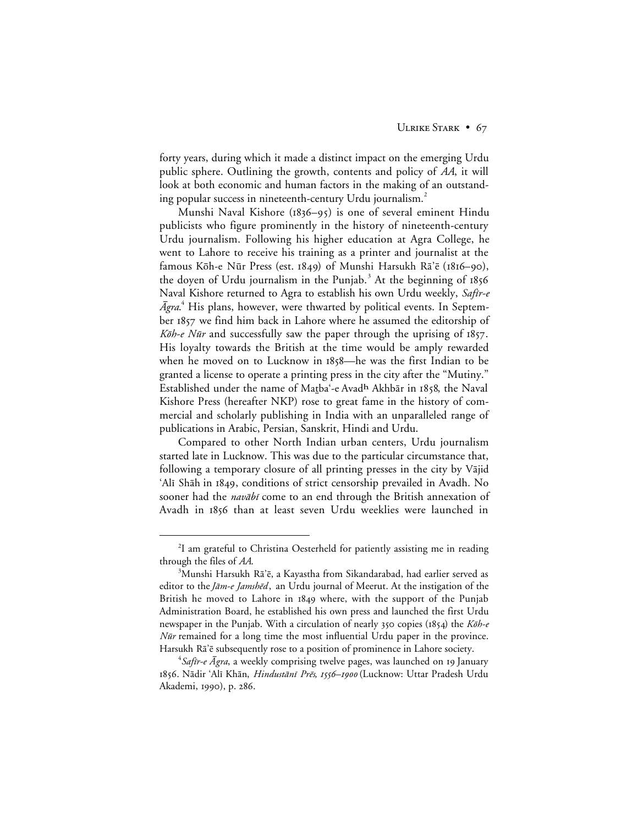forty years, during which it made a distinct impact on the emerging Urdu public sphere. Outlining the growth, contents and policy of *AA*, it will look at both economic and human factors in the making of an outstanding popular success in nineteenth-century Urdu journalism.<sup>2</sup>

Munshi Naval Kishore ( $1836-95$ ) is one of several eminent Hindu publicists who figure prominently in the history of nineteenth-century Urdu journalism. Following his higher education at Agra College, he went to Lahore to receive his training as a printer and journalist at the famous Kōh-e Nūr Press (est. 1849) of Munshi Harsukh Rā'ē (1816–90), the doyen of Urdu journalism in the Punjab.<sup>3</sup> At the beginning of  $1856$ Naval Kishore returned to Agra to establish his own Urdu weekly, Safir-e  $\bar A$ gra. $^4$  His plans, however, were thwarted by political events. In September 1857 we find him back in Lahore where he assumed the editorship of Kōh-e Nūr and successfully saw the paper through the uprising of  $1857$ . His loyalty towards the British at the time would be amply rewarded when he moved on to Lucknow in 1858—he was the first Indian to be granted a license to operate a printing press in the city after the "Mutiny." Established under the name of Matba'-e Avadh Akhbār in 1858, the Naval Kishore Press (hereafter NKP) rose to great fame in the history of commercial and scholarly publishing in India with an unparalleled range of publications in Arabic, Persian, Sanskrit, Hindi and Urdu.

Compared to other North Indian urban centers, Urdu journalism started late in Lucknow. This was due to the particular circumstance that, following a temporary closure of all printing presses in the city by Vājid 'Alī Shāh in 1849, conditions of strict censorship prevailed in Avadh. No sooner had the *navābī* come to an end through the British annexation of Avadh in 1856 than at least seven Urdu weeklies were launched in

 <sup>2</sup> <sup>2</sup>I am grateful to Christina Oesterheld for patiently assisting me in reading through the files of *AA*.

 ${}^{3}$ Munshi Harsukh Rā'ē, a Kayastha from Sikandarabad, had earlier served as editor to the Jam-e Jamshed, an Urdu journal of Meerut. At the instigation of the British he moved to Lahore in 1849 where, with the support of the Punjab Administration Board, he established his own press and launched the first Urdu newspaper in the Punjab. With a circulation of nearly  $350$  copies (1854) the K $\bar{\omega}h$ -e *Nūr* remained for a long time the most influential Urdu paper in the province. Harsukh Ra'e subsequently rose to a position of prominence in Lahore society.

 $^4$ S*afir-e Āgra*, a weekly comprising twelve pages, was launched on 19 January 1856. Nādir 'Alī Khān, *Hindustānī Prēs, 1556–1900* (Lucknow: Uttar Pradesh Urdu Akademi, 1990), p. 286.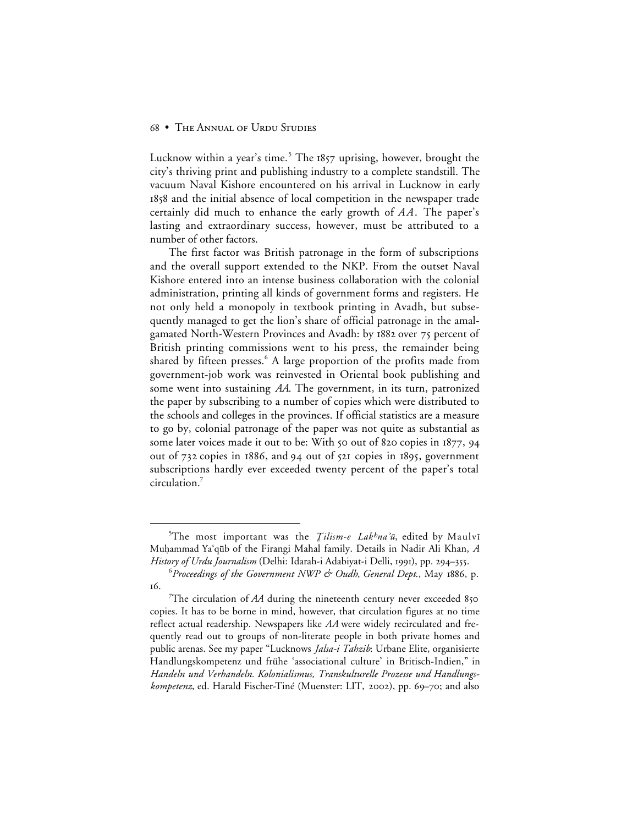Lucknow within a year's time.<sup>5</sup> The  $1857$  uprising, however, brought the city's thriving print and publishing industry to a complete standstill. The vacuum Naval Kishore encountered on his arrival in Lucknow in early 1858 and the initial absence of local competition in the newspaper trade certainly did much to enhance the early growth of *A A*. The paper's lasting and extraordinary success, however, must be attributed to a number of other factors.

The first factor was British patronage in the form of subscriptions and the overall support extended to the NKP. From the outset Naval Kishore entered into an intense business collaboration with the colonial administration, printing all kinds of government forms and registers. He not only held a monopoly in textbook printing in Avadh, but subsequently managed to get the lion's share of official patronage in the amalgamated North-Western Provinces and Avadh: by 1882 over 75 percent of British printing commissions went to his press, the remainder being shared by fifteen presses.<sup>6</sup> A large proportion of the profits made from government-job work was reinvested in Oriental book publishing and some went into sustaining *AA*. The government, in its turn, patronized the paper by subscribing to a number of copies which were distributed to the schools and colleges in the provinces. If official statistics are a measure to go by, colonial patronage of the paper was not quite as substantial as some later voices made it out to be: With  $\zeta$  out of 820 copies in  $1877, 94$ out of  $732$  copies in  $1886$ , and  $94$  out of  $521$  copies in  $1895$ , government subscriptions hardly ever exceeded twenty percent of the paper's total circulation.7

 $\frac{1}{5}$ <sup>5</sup>The most important was the *Tilism-e Lak<sup>h</sup>na'ū*, edited by Maulvī Mu√ammad Ya'q∑b of the Firangi Mahal family. Details in Nadir Ali Khan, *A History of Urdu Journalism* (Delhi: Idarah-i Adabiyat-i Delli, 1991), pp. 294-355.

 $^6$ Proceedings of the Government NWP & Oudh, General Dept., May 1886, p. 16.

<sup>&</sup>lt;sup>7</sup>The circulation of *AA* during the nineteenth century never exceeded 850 copies. It has to be borne in mind, however, that circulation figures at no time reflect actual readership. Newspapers like *AA* were widely recirculated and frequently read out to groups of non-literate people in both private homes and public arenas. See my paper "Lucknows *Jalsa-i Tahzib*: Urbane Elite, organisierte Handlungskompetenz und frühe 'associational culture' in Britisch-Indien," in *Handeln und Verhandeln. Kolonialismus, Transkulturelle Prozesse und Handlungskompetenz*, ed. Harald Fischer-Tiné (Muenster: LIT, 2002), pp. 69–70; and also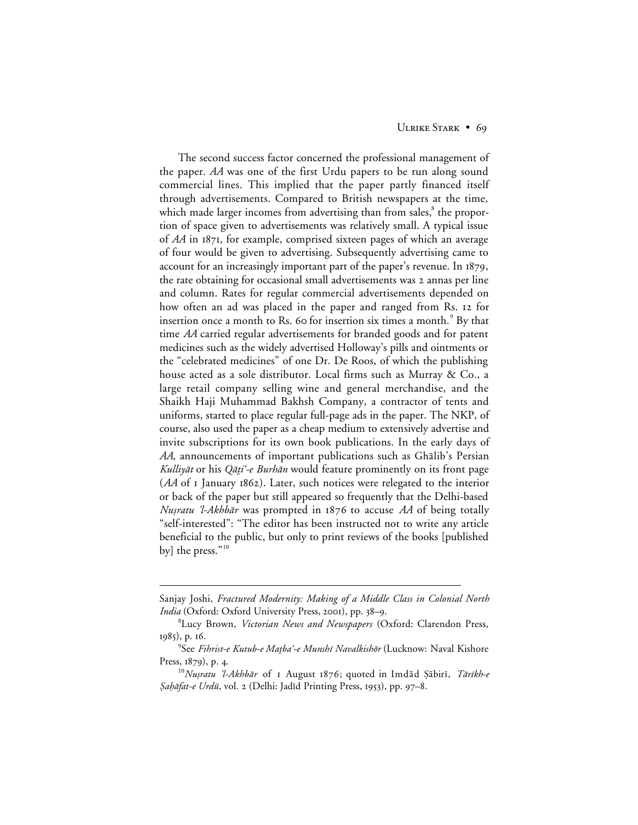## ULRIKE STARK • 69

The second success factor concerned the professional management of the paper. *AA* was one of the first Urdu papers to be run along sound commercial lines. This implied that the paper partly financed itself through advertisements. Compared to British newspapers at the time, which made larger incomes from advertising than from sales,<sup>8</sup> the proportion of space given to advertisements was relatively small. A typical issue of *AA* in 1871, for example, comprised sixteen pages of which an average of four would be given to advertising. Subsequently advertising came to account for an increasingly important part of the paper's revenue. In 1879, the rate obtaining for occasional small advertisements was 2 annas per line and column. Rates for regular commercial advertisements depended on how often an ad was placed in the paper and ranged from Rs. 12 for insertion once a month to Rs. 60 for insertion six times a month.<sup>9</sup> By that time *AA* carried regular advertisements for branded goods and for patent medicines such as the widely advertised Holloway's pills and ointments or the "celebrated medicines" of one Dr. De Roos, of which the publishing house acted as a sole distributor. Local firms such as Murray & Co., a large retail company selling wine and general merchandise, and the Shaikh Haji Muhammad Bakhsh Company, a contractor of tents and uniforms, started to place regular full-page ads in the paper. The NKP, of course, also used the paper as a cheap medium to extensively advertise and invite subscriptions for its own book publications. In the early days of *AA*, announcements of important publications such as Ghālib's Persian Kulliyāt or his Qāṭi'-e Burhān would feature prominently on its front page (AA of I January 1862). Later, such notices were relegated to the interior or back of the paper but still appeared so frequently that the Delhi-based Nusratu 'l-Akhbār was prompted in 1876 to accuse AA of being totally "self-interested": "The editor has been instructed not to write any article beneficial to the public, but only to print reviews of the books [published by] the press."<sup>10</sup>

 $\overline{a}$ 

Sanjay Joshi, *Fractured Modernity: Making of a Middle Class in Colonial North India* (Oxford: Oxford University Press, 2001), pp. 38-9.

<sup>8</sup> Lucy Brown, *Victorian News and Newspapers* (Oxford: Clarendon Press, 1985), p. 16.

<sup>&</sup>lt;sup>9</sup>See *Fihrist-e Kutub-e Maṭbaʿ-e Munshī Navalkishōr* (Lucknow: Naval Kishore Press,  $1879$ , p. 4.

<sup>&</sup>lt;sup>10</sup>Nușratu 'l-Akhbār of 1 August 1876; quoted in Imdād Şābirī, Tārīkh-e §ahāfat-e Urdū, vol. 2 (Delhi: Jadīd Printing Press, 1953), pp. 97-8.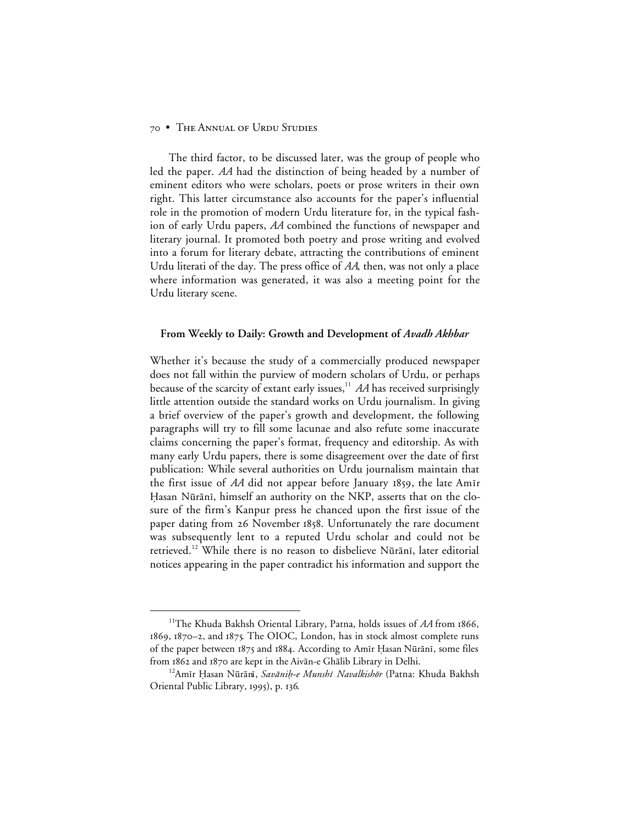The third factor, to be discussed later, was the group of people who led the paper. *AA* had the distinction of being headed by a number of eminent editors who were scholars, poets or prose writers in their own right. This latter circumstance also accounts for the paper's influential role in the promotion of modern Urdu literature for, in the typical fashion of early Urdu papers, *AA* combined the functions of newspaper and literary journal. It promoted both poetry and prose writing and evolved into a forum for literary debate, attracting the contributions of eminent Urdu literati of the day. The press office of *AA*, then, was not only a place where information was generated, it was also a meeting point for the Urdu literary scene.

#### **From Weekly to Daily: Growth and Development of** *Avadh Akhbar*

Whether it's because the study of a commercially produced newspaper does not fall within the purview of modern scholars of Urdu, or perhaps because of the scarcity of extant early issues,<sup>11</sup> *AA* has received surprisingly little attention outside the standard works on Urdu journalism. In giving a brief overview of the paper's growth and development, the following paragraphs will try to fill some lacunae and also refute some inaccurate claims concerning the paper's format, frequency and editorship. As with many early Urdu papers, there is some disagreement over the date of first publication: While several authorities on Urdu journalism maintain that the first issue of  $AA$  did not appear before January 1859, the late Am<sub>I</sub>r Hasan Nūrānī, himself an authority on the NKP, asserts that on the closure of the firm's Kanpur press he chanced upon the first issue of the paper dating from 26 November 1858. Unfortunately the rare document was subsequently lent to a reputed Urdu scholar and could not be retrieved.<sup>12</sup> While there is no reason to disbelieve Nūrānī, later editorial notices appearing in the paper contradict his information and support the

<sup>&</sup>lt;sup>11</sup>The Khuda Bakhsh Oriental Library, Patna, holds issues of AA from 1866, 1869, 1870-2, and 1875. The OIOC, London, has in stock almost complete runs of the paper between 1875 and 1884. According to Amīr Ḥasan Nūrānī, some files from 1862 and 1870 are kept in the Aivān-e Ghālib Library in Delhi.

<sup>&</sup>lt;sup>12</sup>Amīr Ḥasan Nūrānī, Savāniḥ-e Munshī Navalkishōr (Patna: Khuda Bakhsh Oriental Public Library, 1995), p. 136.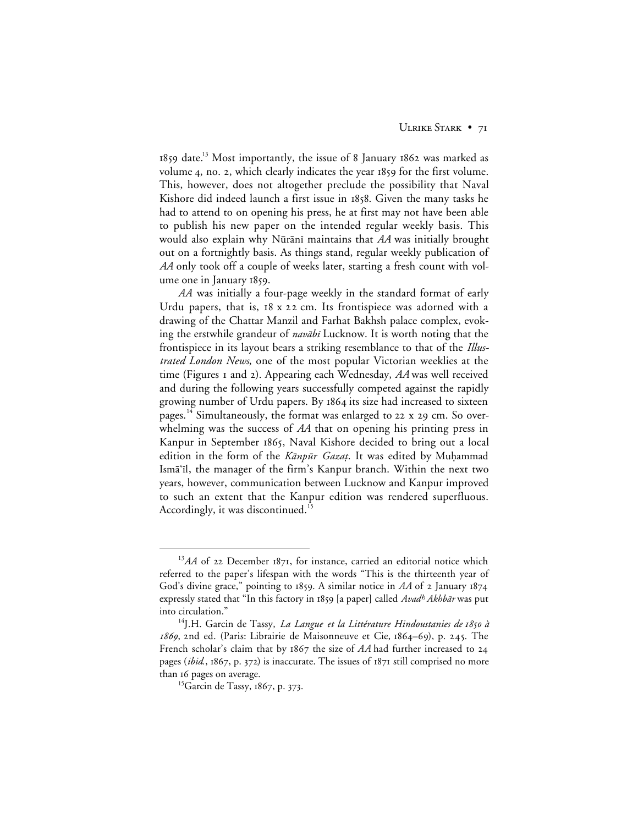1859 date.<sup>13</sup> Most importantly, the issue of 8 January 1862 was marked as volume 4, no. 2, which clearly indicates the year 1859 for the first volume. This, however, does not altogether preclude the possibility that Naval Kishore did indeed launch a first issue in 1858. Given the many tasks he had to attend to on opening his press, he at first may not have been able to publish his new paper on the intended regular weekly basis. This would also explain why Nūrānī maintains that *AA* was initially brought out on a fortnightly basis. As things stand, regular weekly publication of *AA* only took off a couple of weeks later, starting a fresh count with volume one in January 1859.

*AA* was initially a four-page weekly in the standard format of early Urdu papers, that is,  $18 \times 22$  cm. Its frontispiece was adorned with a drawing of the Chattar Manzil and Farhat Bakhsh palace complex, evoking the erstwhile grandeur of *navābī* Lucknow. It is worth noting that the frontispiece in its layout bears a striking resemblance to that of the *Illustrated London News*, one of the most popular Victorian weeklies at the time (Figures I and 2). Appearing each Wednesday, AA was well received and during the following years successfully competed against the rapidly growing number of Urdu papers. By its size had increased to sixteen pages.<sup>14</sup> Simultaneously, the format was enlarged to  $22 \times 29$  cm. So overwhelming was the success of *AA* that on opening his printing press in Kanpur in September 1865, Naval Kishore decided to bring out a local edition in the form of the Kānpūr Gazat. It was edited by Muḥammad Ismā'il, the manager of the firm's Kanpur branch. Within the next two years, however, communication between Lucknow and Kanpur improved to such an extent that the Kanpur edition was rendered superfluous. Accordingly, it was discontinued.<sup>15</sup>

<sup>&</sup>lt;sup>13</sup>AA of 22 December 1871, for instance, carried an editorial notice which referred to the paper's lifespan with the words "This is the thirteenth year of God's divine grace," pointing to 1859. A similar notice in AA of 2 January 1874 expressly stated that "In this factory in 1859 [a paper] called *Avad<sup>h</sup> Akhbār* was put into circulation."

<sup>&</sup>lt;sup>14</sup>J.H. Garcin de Tassy, *La Langue et la Littérature Hindoustanies de 1850 à*  $1869$ , 2nd ed. (Paris: Librairie de Maisonneuve et Cie,  $1864-69$ ), p. 245. The French scholar's claim that by 1867 the size of AA had further increased to 24 pages (*ibid.*, 1867, p. 372) is inaccurate. The issues of 1871 still comprised no more than 16 pages on average.

<sup>&</sup>lt;sup>15</sup>Garcin de Tassy, 1867, p. 373.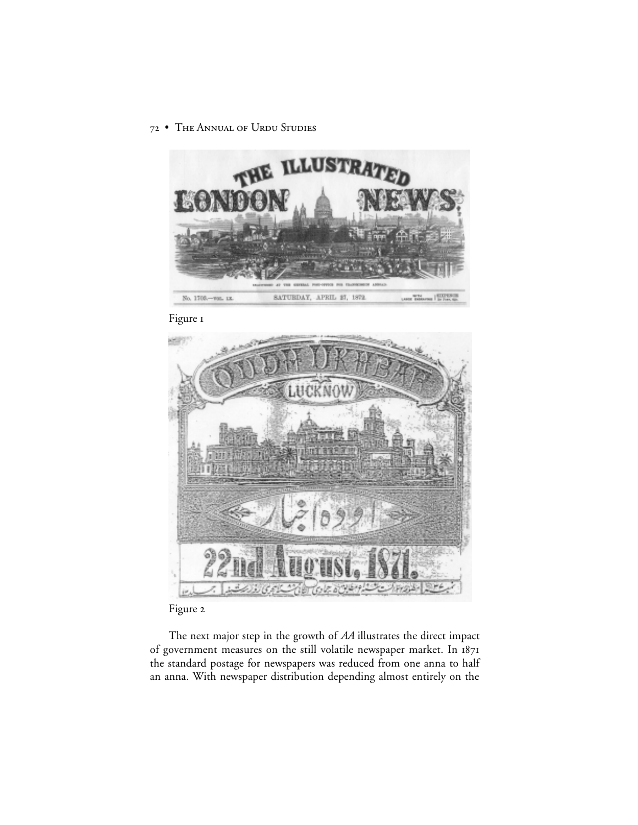

Figure I



Figure 2

The next major step in the growth of *AA* illustrates the direct impact of government measures on the still volatile newspaper market. In the standard postage for newspapers was reduced from one anna to half an anna. With newspaper distribution depending almost entirely on the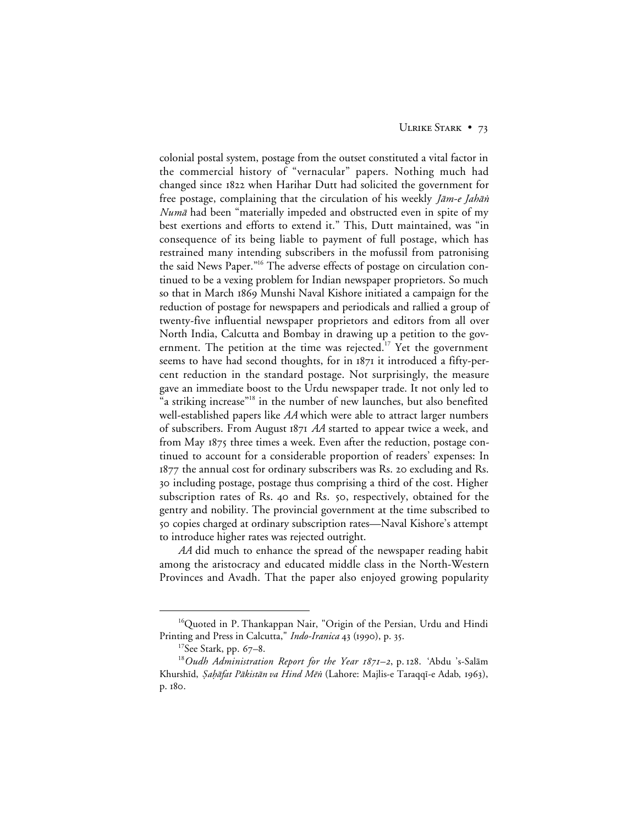colonial postal system, postage from the outset constituted a vital factor in the commercial history of "vernacular" papers. Nothing much had changed since 1822 when Harihar Dutt had solicited the government for free postage, complaining that the circulation of his weekly *Jām-e Jahān Numā* had been "materially impeded and obstructed even in spite of my best exertions and efforts to extend it." This, Dutt maintained, was "in consequence of its being liable to payment of full postage, which has restrained many intending subscribers in the mofussil from patronising the said News Paper."<sup>16</sup> The adverse effects of postage on circulation continued to be a vexing problem for Indian newspaper proprietors. So much so that in March 1869 Munshi Naval Kishore initiated a campaign for the reduction of postage for newspapers and periodicals and rallied a group of twenty-five influential newspaper proprietors and editors from all over North India, Calcutta and Bombay in drawing up a petition to the government. The petition at the time was rejected.<sup>17</sup> Yet the government seems to have had second thoughts, for in 1871 it introduced a fifty-percent reduction in the standard postage. Not surprisingly, the measure gave an immediate boost to the Urdu newspaper trade. It not only led to "a striking increase"<sup>18</sup> in the number of new launches, but also benefited well-established papers like *AA* which were able to attract larger numbers of subscribers. From August *AA* started to appear twice a week, and from May three times a week. Even after the reduction, postage continued to account for a considerable proportion of readers' expenses: In  $1877$  the annual cost for ordinary subscribers was Rs. 20 excluding and Rs. 30 including postage, postage thus comprising a third of the cost. Higher subscription rates of Rs. 40 and Rs. 50, respectively, obtained for the gentry and nobility. The provincial government at the time subscribed to copies charged at ordinary subscription rates—Naval Kishore's attempt to introduce higher rates was rejected outright.

*AA* did much to enhance the spread of the newspaper reading habit among the aristocracy and educated middle class in the North-Western Provinces and Avadh. That the paper also enjoyed growing popularity

<sup>&</sup>lt;sup>16</sup>Quoted in P. Thankappan Nair, "Origin of the Persian, Urdu and Hindi Printing and Press in Calcutta," *Indo-Iranica* 43 (1990), p. 35.

 $17$ See Stark, pp. 67–8.

<sup>&</sup>lt;sup>18</sup>Oudh Administration Report for the Year 1871-2, p. 128. 'Abdu 's-Salām Khurshīd, *Şaḥāfat Pākistān va Hind Mēn* (Lahore: Majlis-e Taraqqī-e Adab, 1963), p. 180.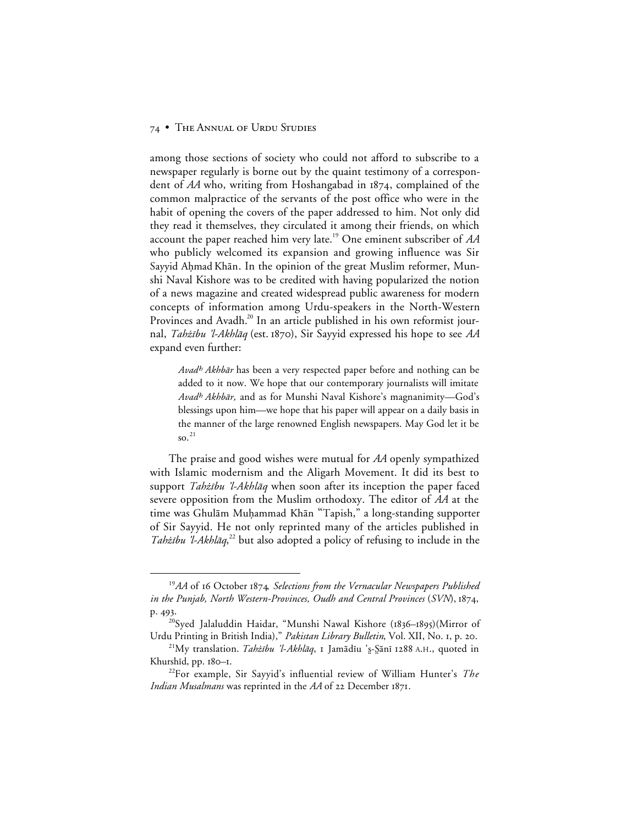among those sections of society who could not afford to subscribe to a newspaper regularly is borne out by the quaint testimony of a correspondent of *AA* who, writing from Hoshangabad in 1874, complained of the common malpractice of the servants of the post office who were in the habit of opening the covers of the paper addressed to him. Not only did they read it themselves, they circulated it among their friends, on which account the paper reached him very late.19 One eminent subscriber of *AA* who publicly welcomed its expansion and growing influence was Sir Sayyid Aḥmad Khān. In the opinion of the great Muslim reformer, Munshi Naval Kishore was to be credited with having popularized the notion of a news magazine and created widespread public awareness for modern concepts of information among Urdu-speakers in the North-Western Provinces and Avadh.<sup>20</sup> In an article published in his own reformist journal, Tahżību 'l-Akhlāq (est. 1870), Sir Sayyid expressed his hope to see AA expand even further:

Avad<sup>h</sup> Akhbār has been a very respected paper before and nothing can be added to it now. We hope that our contemporary journalists will imitate Avad^ Akhb≥r*,* and as for Munshi Naval Kishore's magnanimity—God's blessings upon him—we hope that his paper will appear on a daily basis in the manner of the large renowned English newspapers. May God let it be  $\mathrm{so.}^{21}$ 

The praise and good wishes were mutual for *AA* openly sympathized with Islamic modernism and the Aligarh Movement. It did its best to support *Tahżību 'l-Akhlāq* when soon after its inception the paper faced severe opposition from the Muslim orthodoxy. The editor of *AA* at the time was Ghulām Muḥammad Khān "Tapish," a long-standing supporter of Sir Sayyid. He not only reprinted many of the articles published in Tahżību 'l-Akhlāq,<sup>22</sup> but also adopted a policy of refusing to include in the

<sup>&</sup>lt;sup>19</sup>AA of 16 October 1874, Selections from the Vernacular Newspapers Published *in the Punjab, North Western-Provinces, Oudh and Central Provinces* (*SVN*), 1874, p. 493.

<sup>&</sup>lt;sup>20</sup>Syed Jalaluddin Haidar, "Munshi Nawal Kishore (1836–1895)(Mirror of Urdu Printing in British India)," *Pakistan Library Bulletin*, Vol. XII, No. 1, p. 20.

<sup>&</sup>lt;sup>21</sup>My translation. Tahżību 'l-Akhlāq, 1 Jamādīu 's-Şānī 1288 A.H., quoted in Khurshid, pp. 180-1.

<sup>22</sup>For example, Sir Sayyid's influential review of William Hunter's *The Indian Musalmans* was reprinted in the *AA* of 22 December 1871.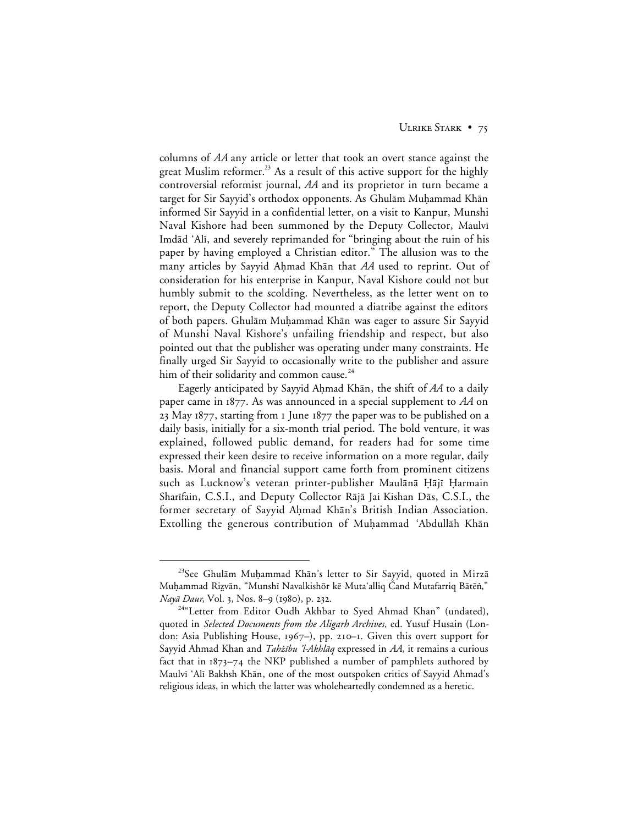columns of *AA* any article or letter that took an overt stance against the great Muslim reformer.<sup>23</sup> As a result of this active support for the highly controversial reformist journal, *AA* and its proprietor in turn became a target for Sir Sayyid's orthodox opponents. As Ghulām Muḥammad Khān informed Sir Sayyid in a confidential letter, on a visit to Kanpur, Munshi Naval Kishore had been summoned by the Deputy Collector, Maulvi Imdād 'Alī, and severely reprimanded for "bringing about the ruin of his paper by having employed a Christian editor." The allusion was to the many articles by Sayyid Ahmad Khan that AA used to reprint. Out of consideration for his enterprise in Kanpur, Naval Kishore could not but humbly submit to the scolding. Nevertheless, as the letter went on to report, the Deputy Collector had mounted a diatribe against the editors of both papers. Ghulām Muḥammad Khān was eager to assure Sir Sayyid of Munshi Naval Kishore's unfailing friendship and respect, but also pointed out that the publisher was operating under many constraints. He finally urged Sir Sayyid to occasionally write to the publisher and assure him of their solidarity and common cause. $24$ 

Eagerly anticipated by Sayyid Ahmad Khān, the shift of AA to a daily paper came in  $1877$ . As was announced in a special supplement to  $AA$  on 23 May 1877, starting from I June  $1877$  the paper was to be published on a daily basis, initially for a six-month trial period. The bold venture, it was explained, followed public demand, for readers had for some time expressed their keen desire to receive information on a more regular, daily basis. Moral and financial support came forth from prominent citizens such as Lucknow's veteran printer-publisher Maulānā Ḥājī Ḥarmain Sharīfain, C.S.I., and Deputy Collector Rājā Jai Kishan Dās, C.S.I., the former secretary of Sayyid Ahmad Khān's British Indian Association. Extolling the generous contribution of Muḥammad 'Abdullāh Khān

<sup>&</sup>lt;sup>23</sup>See Ghulām Muḥammad Khān's letter to Sir Sayyid, quoted in Mirzā Muḥammad Riẓvān, "Munshī Navalkishōr kē Mutaʻalliq Čand Mutafarriq Bātēṅ," Nayā Daur, Vol. 3, Nos. 8-9 (1980), p. 232.

<sup>&</sup>lt;sup>24</sup>"Letter from Editor Oudh Akhbar to Syed Ahmad Khan" (undated), quoted in *Selected Documents from the Aligarh Archives*, ed. Yusuf Husain (London: Asia Publishing House,  $1967-$ ), pp. 210–1. Given this overt support for Sayyid Ahmad Khan and *Tahżību 'l-Akhlāq* expressed in *AA*, it remains a curious fact that in  $1873-74$  the NKP published a number of pamphlets authored by Maulvī 'Alī Bakhsh Khān, one of the most outspoken critics of Sayyid Ahmad's religious ideas, in which the latter was wholeheartedly condemned as a heretic.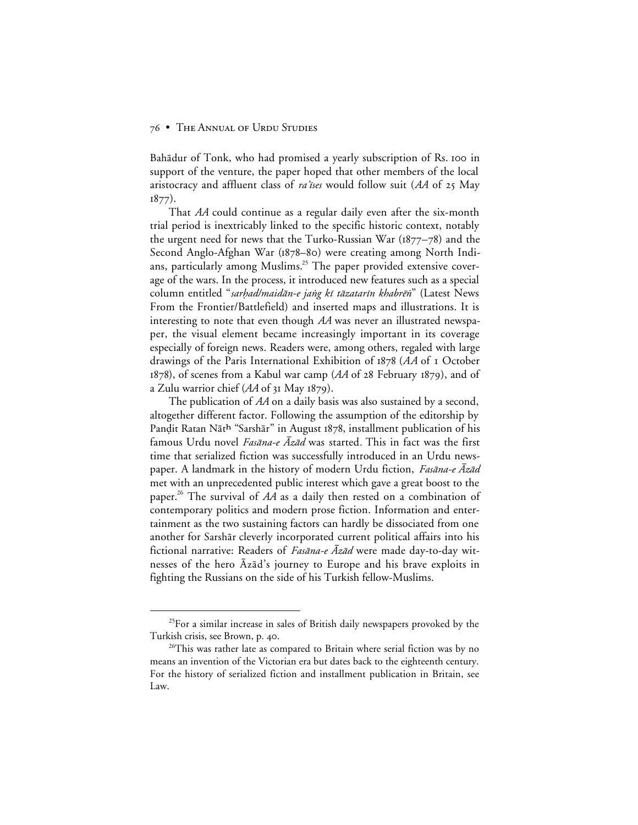Bahādur of Tonk, who had promised a yearly subscription of Rs. 100 in support of the venture, the paper hoped that other members of the local aristocracy and affluent class of *ra'tses* would follow suit ( $AA$  of  $25$  May  $1877$ ).

That *AA* could continue as a regular daily even after the six-month trial period is inextricably linked to the specific historic context, notably the urgent need for news that the Turko-Russian War ( $1877-78$ ) and the Second Anglo-Afghan War (1878–80) were creating among North Indians, particularly among Muslims.<sup>25</sup> The paper provided extensive coverage of the wars. In the process, it introduced new features such as a special column entitled "sarhad/maidān-e jang kī tāzatarīn khabrēn" (Latest News From the Frontier/Battlefield) and inserted maps and illustrations. It is interesting to note that even though *AA* was never an illustrated newspaper, the visual element became increasingly important in its coverage especially of foreign news. Readers were, among others, regaled with large drawings of the Paris International Exhibition of 1878 (AA of 1 October  $1878$ ), of scenes from a Kabul war camp ( $AA$  of  $28$  February  $1879$ ), and of a Zulu warrior chief (AA of 31 May 1879).

The publication of *AA* on a daily basis was also sustained by a second, altogether different factor. Following the assumption of the editorship by Pandit Ratan Nāth "Sarshār" in August 1878, installment publication of his famous Urdu novel *Fasāna-e Azād* was started. This in fact was the first time that serialized fiction was successfully introduced in an Urdu newspaper. A landmark in the history of modern Urdu fiction, Fasana-e  $\bar{A}z\bar{a}d$ met with an unprecedented public interest which gave a great boost to the paper.26 The survival of *AA* as a daily then rested on a combination of contemporary politics and modern prose fiction. Information and entertainment as the two sustaining factors can hardly be dissociated from one another for Sarshār cleverly incorporated current political affairs into his fictional narrative: Readers of *Fasāna-e Āzād* were made day-to-day witnesses of the hero Azad's journey to Europe and his brave exploits in fighting the Russians on the side of his Turkish fellow-Muslims.

<sup>&</sup>lt;sup>25</sup>For a similar increase in sales of British daily newspapers provoked by the Turkish crisis, see Brown, p. 40.

 $26$ This was rather late as compared to Britain where serial fiction was by no means an invention of the Victorian era but dates back to the eighteenth century. For the history of serialized fiction and installment publication in Britain, see Law.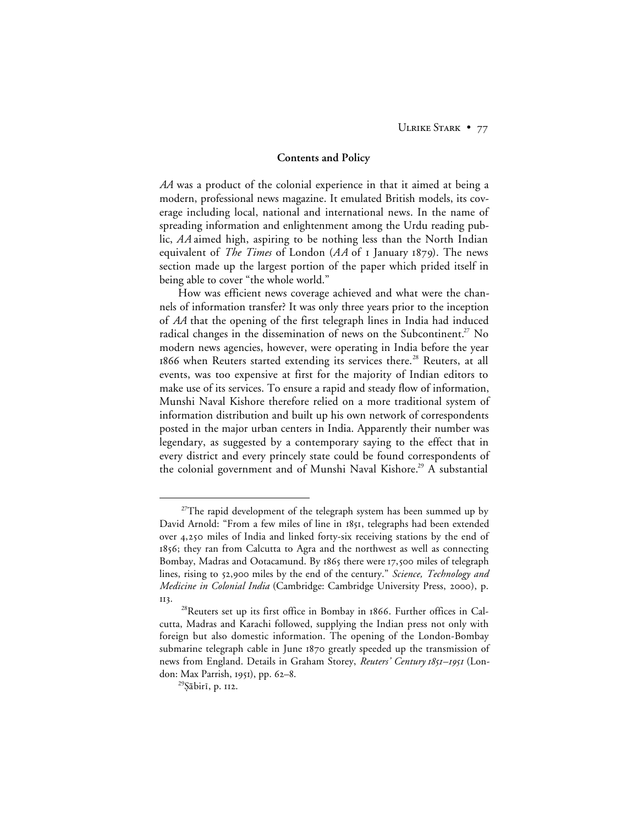ULRIKE STARK • 77

#### **Contents and Policy**

*AA* was a product of the colonial experience in that it aimed at being a modern, professional news magazine. It emulated British models, its coverage including local, national and international news. In the name of spreading information and enlightenment among the Urdu reading public, *AA* aimed high, aspiring to be nothing less than the North Indian equivalent of *The Times* of London (AA of I January 1879). The news section made up the largest portion of the paper which prided itself in being able to cover "the whole world."

How was efficient news coverage achieved and what were the channels of information transfer? It was only three years prior to the inception of *AA* that the opening of the first telegraph lines in India had induced radical changes in the dissemination of news on the Subcontinent.<sup>27</sup> No modern news agencies, however, were operating in India before the year 1866 when Reuters started extending its services there.<sup>28</sup> Reuters, at all events, was too expensive at first for the majority of Indian editors to make use of its services. To ensure a rapid and steady flow of information, Munshi Naval Kishore therefore relied on a more traditional system of information distribution and built up his own network of correspondents posted in the major urban centers in India. Apparently their number was legendary, as suggested by a contemporary saying to the effect that in every district and every princely state could be found correspondents of the colonial government and of Munshi Naval Kishore.<sup>29</sup> A substantial

<sup>&</sup>lt;sup>27</sup>The rapid development of the telegraph system has been summed up by David Arnold: "From a few miles of line in 1851, telegraphs had been extended over 4,250 miles of India and linked forty-six receiving stations by the end of 1856; they ran from Calcutta to Agra and the northwest as well as connecting Bombay, Madras and Ootacamund. By 1865 there were 17,500 miles of telegraph lines, rising to 52,900 miles by the end of the century." *Science, Technology and Medicine in Colonial India* (Cambridge: Cambridge University Press, 2000), p. II3.

<sup>&</sup>lt;sup>28</sup>Reuters set up its first office in Bombay in 1866. Further offices in Calcutta, Madras and Karachi followed, supplying the Indian press not only with foreign but also domestic information. The opening of the London-Bombay submarine telegraph cable in June 1870 greatly speeded up the transmission of news from England. Details in Graham Storey, *Reuters' Century 1851–1951* (London: Max Parrish, 1951), pp. 62–8.

<sup>&</sup>lt;sup>29</sup>Şābirī, p. 112.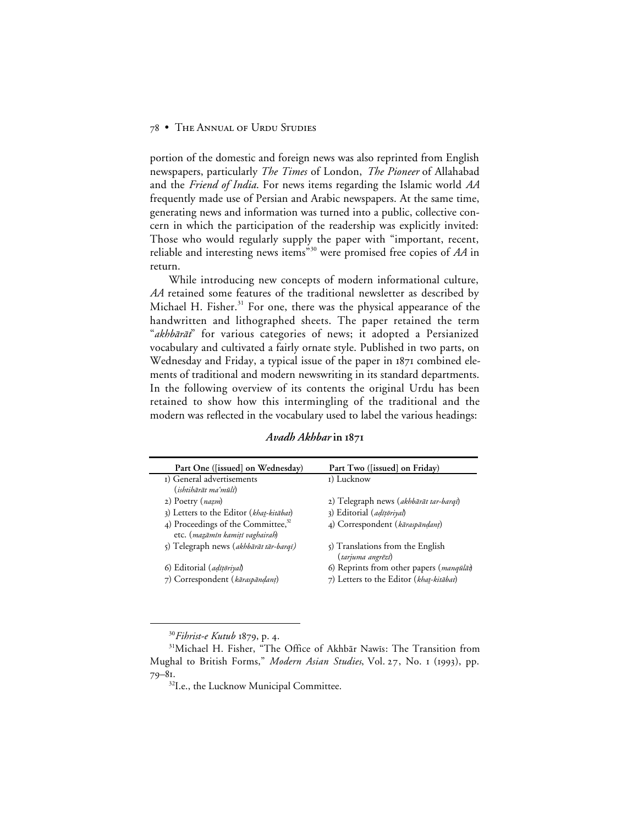portion of the domestic and foreign news was also reprinted from English newspapers, particularly *The Times* of London, *The Pioneer* of Allahabad and the *Friend of India*. For news items regarding the Islamic world *AA* frequently made use of Persian and Arabic newspapers. At the same time, generating news and information was turned into a public, collective concern in which the participation of the readership was explicitly invited: Those who would regularly supply the paper with "important, recent, reliable and interesting news items"<sup>30</sup> were promised free copies of *AA* in return.

While introducing new concepts of modern informational culture, *AA* retained some features of the traditional newsletter as described by Michael H. Fisher. $31$  For one, there was the physical appearance of the handwritten and lithographed sheets. The paper retained the term "akhbārāt" for various categories of news; it adopted a Persianized vocabulary and cultivated a fairly ornate style. Published in two parts, on Wednesday and Friday, a typical issue of the paper in 1871 combined elements of traditional and modern newswriting in its standard departments. In the following overview of its contents the original Urdu has been retained to show how this intermingling of the traditional and the modern was reflected in the vocabulary used to label the various headings:

| Avadh Akhbar in 1871 |  |
|----------------------|--|
|                      |  |

| Part One ([issued] on Wednesday)                                         | Part Two ([issued] on Friday)                                |
|--------------------------------------------------------------------------|--------------------------------------------------------------|
| I) General advertisements                                                | I) Lucknow                                                   |
| (ishtihārāt maʻmūlī)                                                     |                                                              |
| 2) Poetry (nazm)                                                         | 2) Telegraph news (akhbārāt tar-barqī)                       |
| 3) Letters to the Editor (khat-kitābat)                                  | 3) Editorial (adīțoriyal)                                    |
| 4) Proceedings of the Committee, $32$<br>etc. (mazāmīn kamitī vaghairah) | 4) Correspondent (kāraspāndant)                              |
| 5) Telegraph news (akhbārāt tār-barqī)                                   | $\zeta$ ) Translations from the English<br>(tarjuma angrēzī) |
| 6) Editorial ( <i>adīțoriyal</i> )                                       | 6) Reprints from other papers (manqualat)                    |
| 7) Correspondent (kāraspāndant)                                          | 7) Letters to the Editor (khat-kitābat)                      |

<sup>30</sup>Fihrist-e Kutub 1879, p. 4.

<sup>&</sup>lt;sup>31</sup>Michael H. Fisher, "The Office of Akhbār Nawīs: The Transition from Mughal to British Forms," Modern Asian Studies, Vol. 27, No. 1 (1993), pp.  $79 - 81$ 

<sup>&</sup>lt;sup>32</sup>I.e., the Lucknow Municipal Committee.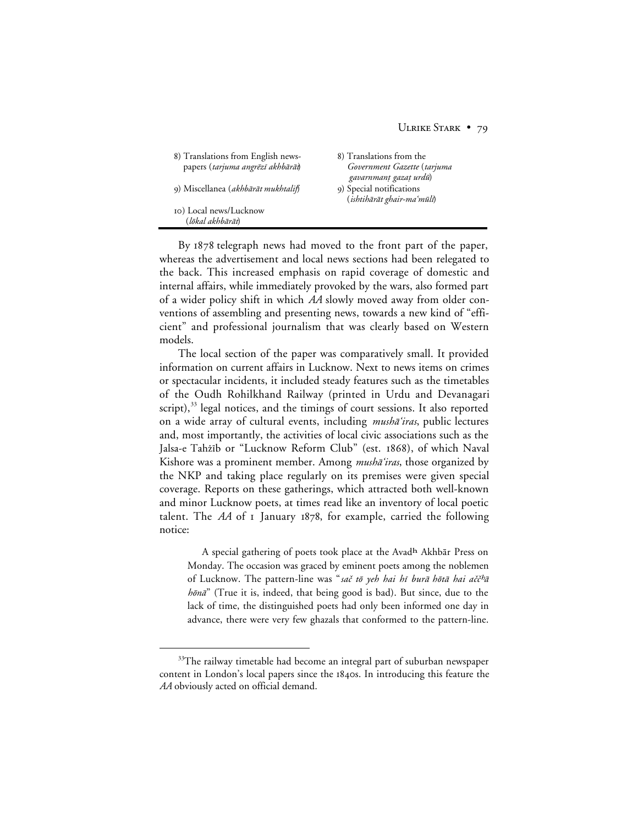| 8) Translations from English news-<br>papers (tarjuma angrēzī akhbārāt) | 8) Translations from the<br>Government Gazette (tarjuma<br>gavarnmant gazaț urdū) |
|-------------------------------------------------------------------------|-----------------------------------------------------------------------------------|
| 9) Miscellanea (akhbārāt mukhtalif)                                     | 9) Special notifications<br>(ishtihārāt ghair-ma'mūlī)                            |
| 10) Local news/Lucknow<br>(lōkal akhbārāt)                              |                                                                                   |

By 1878 telegraph news had moved to the front part of the paper, whereas the advertisement and local news sections had been relegated to the back. This increased emphasis on rapid coverage of domestic and internal affairs, while immediately provoked by the wars, also formed part of a wider policy shift in which *AA* slowly moved away from older conventions of assembling and presenting news, towards a new kind of "efficient" and professional journalism that was clearly based on Western models.

The local section of the paper was comparatively small. It provided information on current affairs in Lucknow. Next to news items on crimes or spectacular incidents, it included steady features such as the timetables of the Oudh Rohilkhand Railway (printed in Urdu and Devanagari script), $33$  legal notices, and the timings of court sessions. It also reported on a wide array of cultural events, including *mushā'iras*, public lectures and, most importantly, the activities of local civic associations such as the Jalsa-e Tahżīb or "Lucknow Reform Club" (est. 1868), of which Naval Kishore was a prominent member. Among *mushā'iras*, those organized by the NKP and taking place regularly on its premises were given special coverage. Reports on these gatherings, which attracted both well-known and minor Lucknow poets, at times read like an inventory of local poetic talent. The  $AA$  of  $I$  January  $1878$ , for example, carried the following notice:

A special gathering of poets took place at the Avadh Akhbār Press on Monday. The occasion was graced by eminent poets among the noblemen of Lucknow. The pattern-line was "sač tō yeh hai hī burā hōtā hai aččhā hōnā" (True it is, indeed, that being good is bad). But since, due to the lack of time, the distinguished poets had only been informed one day in advance, there were very few ghazals that conformed to the pattern-line.

<sup>&</sup>lt;sup>33</sup>The railway timetable had become an integral part of suburban newspaper content in London's local papers since the 1840s. In introducing this feature the *AA* obviously acted on official demand.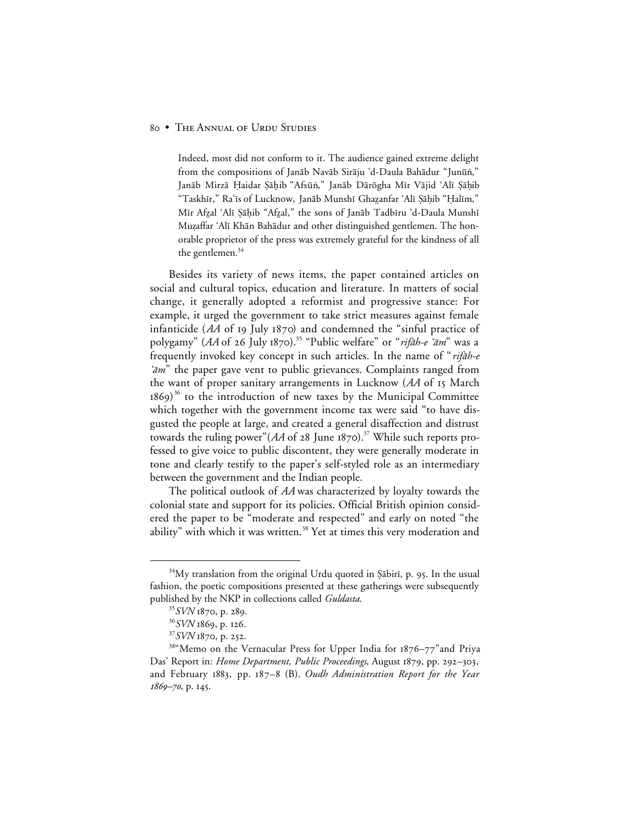Indeed, most did not conform to it. The audience gained extreme delight from the compositions of Janāb Navāb Sirāju 'd-Daula Bahādur "Junūn," Janāb Mirzā Haidar Şāḥib "Afsūṅ," Janāb Dārōgha Mīr Vājid 'Alī Şāḥib "Taskhīr," Ra'īs of Lucknow, Janāb Munshī Ghazanfar 'Alī Şāḥib "Ḥalīm," Mīr Afzal 'Alī Şāḥib "Afzal," the sons of Janāb Tadbīru 'd-Daula Munshī Muzaffar 'Alī Khān Bahādur and other distinguished gentlemen. The honorable proprietor of the press was extremely grateful for the kindness of all the gentlemen.<sup>34</sup>

Besides its variety of news items, the paper contained articles on social and cultural topics, education and literature. In matters of social change, it generally adopted a reformist and progressive stance: For example, it urged the government to take strict measures against female infanticide  $(AA \tof 19 \tJuly 1870)$  and condemned the "sinful practice of polygamy" (*AA* of 26 July 1870).<sup>35</sup> "Public welfare" or "rifāh-e 'ām" was a frequently invoked key concept in such articles. In the name of "rifāh-e  $\hat{a}m$ " the paper gave vent to public grievances. Complaints ranged from the want of proper sanitary arrangements in Lucknow (AA of 15 March 1869) $^{36}$  to the introduction of new taxes by the Municipal Committee which together with the government income tax were said "to have disgusted the people at large, and created a general disaffection and distrust towards the ruling power" $(AA \t{ of } 28$  June 1870).<sup>37</sup> While such reports professed to give voice to public discontent, they were generally moderate in tone and clearly testify to the paper's self-styled role as an intermediary between the government and the Indian people.

The political outlook of *AA* was characterized by loyalty towards the colonial state and support for its policies. Official British opinion considered the paper to be "moderate and respected" and early on noted "the ability" with which it was written.<sup>38</sup> Yet at times this very moderation and

<sup>&</sup>lt;sup>34</sup>My translation from the original Urdu quoted in Şābirī, p. 95. In the usual fashion, the poetic compositions presented at these gatherings were subsequently published by the NKP in collections called *Guldasta*.

<sup>&</sup>lt;sup>35</sup>*SVN* 1870, p. 289.

<sup>36</sup>*SVN* 1869, p. 126.

 $37$ *SVN* 1870, p. 252.

<sup>38&</sup>quot;Memo on the Vernacular Press for Upper India for 1876-77" and Priya Das' Report in: *Home Department, Public Proceedings*, August 1879, pp. 292–303, and February 1883, pp. 187–8 (B). *Oudh Administration Report for the Year 1869-70*, p. 145.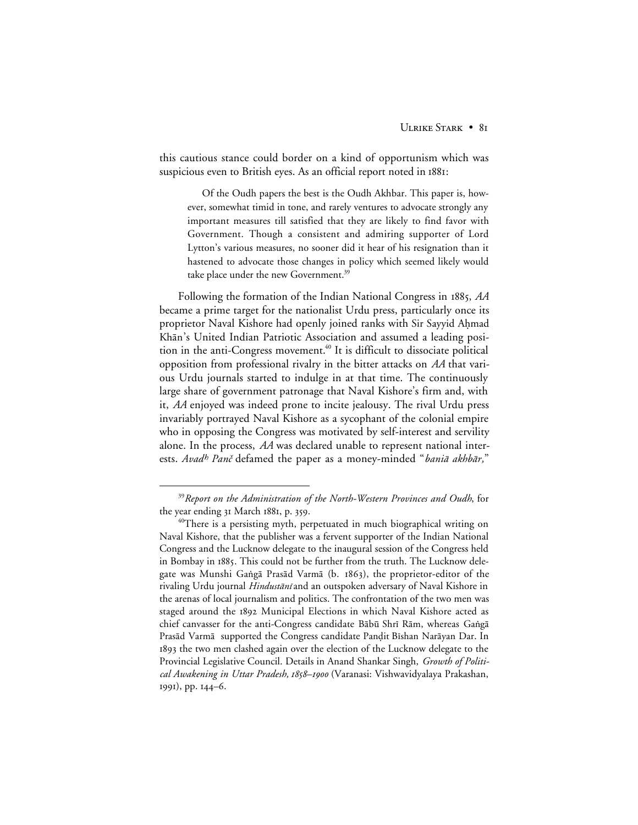this cautious stance could border on a kind of opportunism which was suspicious even to British eyes. As an official report noted in 1881:

Of the Oudh papers the best is the Oudh Akhbar. This paper is, however, somewhat timid in tone, and rarely ventures to advocate strongly any important measures till satisfied that they are likely to find favor with Government. Though a consistent and admiring supporter of Lord Lytton's various measures, no sooner did it hear of his resignation than it hastened to advocate those changes in policy which seemed likely would take place under the new Government.<sup>39</sup>

Following the formation of the Indian National Congress in , *AA* became a prime target for the nationalist Urdu press, particularly once its proprietor Naval Kishore had openly joined ranks with Sir Sayyid Ahmad Khān's United Indian Patriotic Association and assumed a leading position in the anti-Congress movement.<sup>40</sup> It is difficult to dissociate political opposition from professional rivalry in the bitter attacks on *AA* that various Urdu journals started to indulge in at that time. The continuously large share of government patronage that Naval Kishore's firm and, with it, *AA* enjoyed was indeed prone to incite jealousy. The rival Urdu press invariably portrayed Naval Kishore as a sycophant of the colonial empire who in opposing the Congress was motivated by self-interest and servility alone. In the process, *AA* was declared unable to represent national interests. Avad<sup>h</sup> Panč defamed the paper as a money-minded "baniā akhbār,"

 <sup>39</sup>*Report on the Administration of the North-Western Provinces and Oudh*, for the year ending 31 March 1881, p. 359.

 $^{40}\!{\rm There}$  is a persisting myth, perpetuated in much biographical writing on Naval Kishore, that the publisher was a fervent supporter of the Indian National Congress and the Lucknow delegate to the inaugural session of the Congress held in Bombay in 1885. This could not be further from the truth. The Lucknow delegate was Munshi Gangā Prasād Varmā (b. 1863), the proprietor-editor of the rivaling Urdu journal *Hindustānī* and an outspoken adversary of Naval Kishore in the arenas of local journalism and politics. The confrontation of the two men was staged around the 1892 Municipal Elections in which Naval Kishore acted as chief canvasser for the anti-Congress candidate Bābū Shrī Rām, whereas Gangā Prasād Varmā supported the Congress candidate Panḍit Bīshan Narāyan Dar. In the two men clashed again over the election of the Lucknow delegate to the Provincial Legislative Council. Details in Anand Shankar Singh, *Growth of Political Awakening in Uttar Pradesh, –* (Varanasi: Vishwavidyalaya Prakashan, 1991), pp. 144–6.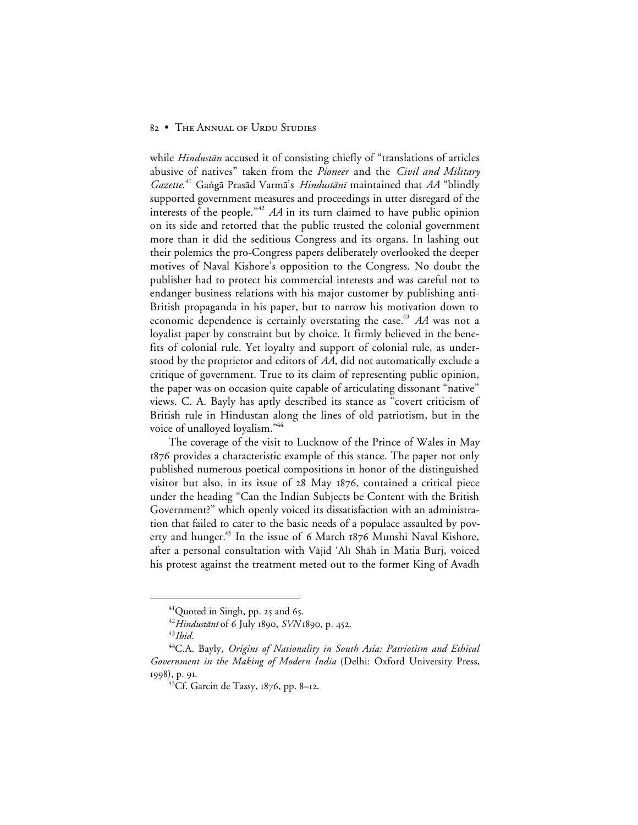while Hindustān accused it of consisting chiefly of "translations of articles abusive of natives" taken from the *Pioneer* and the *Civil and Military* Gazette.<sup>41</sup> Gangā Prasād Varmā's Hindustānī maintained that AA "blindly supported government measures and proceedings in utter disregard of the interests of the people."<sup>42</sup> *AA* in its turn claimed to have public opinion on its side and retorted that the public trusted the colonial government more than it did the seditious Congress and its organs. In lashing out their polemics the pro-Congress papers deliberately overlooked the deeper motives of Naval Kishore's opposition to the Congress. No doubt the publisher had to protect his commercial interests and was careful not to endanger business relations with his major customer by publishing anti-British propaganda in his paper, but to narrow his motivation down to economic dependence is certainly overstating the case.<sup>43</sup> AA was not a loyalist paper by constraint but by choice. It firmly believed in the benefits of colonial rule. Yet loyalty and support of colonial rule, as understood by the proprietor and editors of *AA,* did not automatically exclude a critique of government. True to its claim of representing public opinion, the paper was on occasion quite capable of articulating dissonant "native" views. C. A. Bayly has aptly described its stance as "covert criticism of British rule in Hindustan along the lines of old patriotism, but in the voice of unalloyed loyalism."<sup>44</sup>

The coverage of the visit to Lucknow of the Prince of Wales in May 1876 provides a characteristic example of this stance. The paper not only published numerous poetical compositions in honor of the distinguished visitor but also, in its issue of  $28$  May  $1876$ , contained a critical piece under the heading "Can the Indian Subjects be Content with the British Government?" which openly voiced its dissatisfaction with an administration that failed to cater to the basic needs of a populace assaulted by poverty and hunger.<sup>45</sup> In the issue of 6 March 1876 Munshi Naval Kishore, after a personal consultation with Vājid 'Alī Shāh in Matia Burj, voiced his protest against the treatment meted out to the former King of Avadh

 $41$ Quoted in Singh, pp. 25 and 65.

<sup>&</sup>lt;sup>42</sup>Hindustānī of 6 July 1890, *SVN* 1890, p. 452.

<sup>43</sup>*Ibid*.

<sup>44</sup>C.A. Bayly, *Origins of Nationality in South Asia: Patriotism and Ethical Government in the Making of Modern India* (Delhi: Oxford University Press, 1998), p. 91.

<sup>45</sup>Cf. Garcin de Tassy, 1876, pp. 8-12.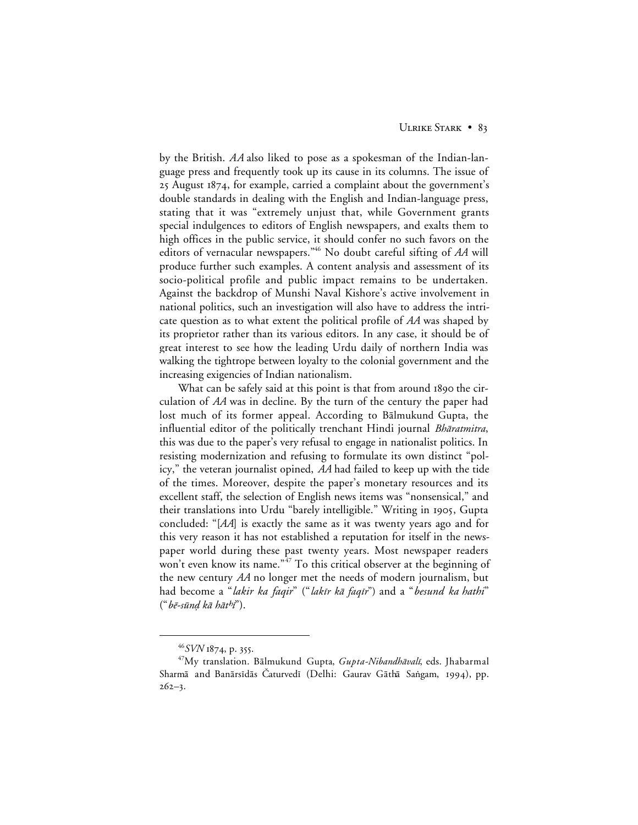by the British. *AA* also liked to pose as a spokesman of the Indian-language press and frequently took up its cause in its columns. The issue of 25 August 1874, for example, carried a complaint about the government's double standards in dealing with the English and Indian-language press, stating that it was "extremely unjust that, while Government grants special indulgences to editors of English newspapers, and exalts them to high offices in the public service, it should confer no such favors on the editors of vernacular newspapers."46 No doubt careful sifting of *AA* will produce further such examples. A content analysis and assessment of its socio-political profile and public impact remains to be undertaken. Against the backdrop of Munshi Naval Kishore's active involvement in national politics, such an investigation will also have to address the intricate question as to what extent the political profile of *AA* was shaped by its proprietor rather than its various editors. In any case, it should be of great interest to see how the leading Urdu daily of northern India was walking the tightrope between loyalty to the colonial government and the increasing exigencies of Indian nationalism.

What can be safely said at this point is that from around 1890 the circulation of *AA* was in decline. By the turn of the century the paper had lost much of its former appeal. According to Balmukund Gupta, the influential editor of the politically trenchant Hindi journal Bharatmitra, this was due to the paper's very refusal to engage in nationalist politics. In resisting modernization and refusing to formulate its own distinct "policy," the veteran journalist opined, *AA* had failed to keep up with the tide of the times. Moreover, despite the paper's monetary resources and its excellent staff, the selection of English news items was "nonsensical," and their translations into Urdu "barely intelligible." Writing in 1905, Gupta concluded: "[*AA*] is exactly the same as it was twenty years ago and for this very reason it has not established a reputation for itself in the newspaper world during these past twenty years. Most newspaper readers won't even know its name."<sup>47</sup> To this critical observer at the beginning of the new century *AA* no longer met the needs of modern journalism, but had become a "*lakir ka faqir*" ("*lakīr kā faqīr*") and a "*besund ka hathi*"  $("b\bar{e}\text{-}s\bar{u}nd k\bar{a} h\bar{a}th\bar{r}").$ 

<sup>&</sup>lt;sup>46</sup>SVN 1874, p. 355.

<sup>&</sup>lt;sup>47</sup>My translation. Bālmukund Gupta, Gupta-Nibandhāvalī, eds. Jhabarmal Sharmā and Banārsīdās Caturvedī (Delhi: Gaurav Gāthā Sangam, 1994), pp.  $262 - 3.$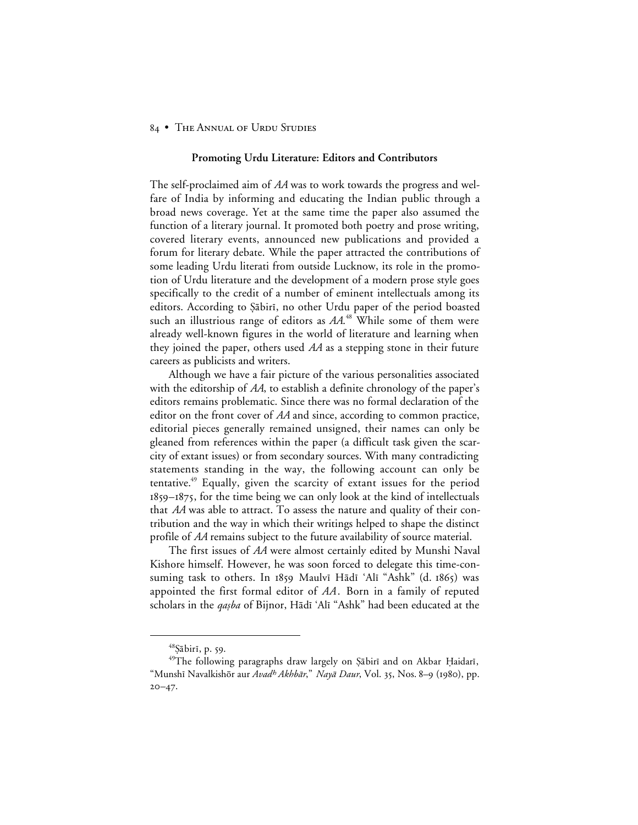#### **Promoting Urdu Literature: Editors and Contributors**

The self-proclaimed aim of *AA* was to work towards the progress and welfare of India by informing and educating the Indian public through a broad news coverage. Yet at the same time the paper also assumed the function of a literary journal. It promoted both poetry and prose writing, covered literary events, announced new publications and provided a forum for literary debate. While the paper attracted the contributions of some leading Urdu literati from outside Lucknow, its role in the promotion of Urdu literature and the development of a modern prose style goes specifically to the credit of a number of eminent intellectuals among its editors. According to Şābirī, no other Urdu paper of the period boasted such an illustrious range of editors as *AA*. <sup>48</sup> While some of them were already well-known figures in the world of literature and learning when they joined the paper, others used *AA* as a stepping stone in their future careers as publicists and writers.

Although we have a fair picture of the various personalities associated with the editorship of *AA*, to establish a definite chronology of the paper's editors remains problematic. Since there was no formal declaration of the editor on the front cover of *AA* and since, according to common practice, editorial pieces generally remained unsigned, their names can only be gleaned from references within the paper (a difficult task given the scarcity of extant issues) or from secondary sources. With many contradicting statements standing in the way, the following account can only be tentative.49 Equally, given the scarcity of extant issues for the period  $1859 - 1875$ , for the time being we can only look at the kind of intellectuals that *AA* was able to attract. To assess the nature and quality of their contribution and the way in which their writings helped to shape the distinct profile of *AA* remains subject to the future availability of source material.

The first issues of *AA* were almost certainly edited by Munshi Naval Kishore himself. However, he was soon forced to delegate this time-consuming task to others. In 1859 Maulvī Hādī 'Alī "Ashk" (d. 1865) was appointed the first formal editor of *AA*. Born in a family of reputed scholars in the *qasba* of Bijnor, Hādī 'Alī "Ashk" had been educated at the

<sup>&</sup>lt;sup>48</sup>Sābirī, p. 59.

<sup>&</sup>lt;sup>49</sup>The following paragraphs draw largely on Şābirī and on Akbar Ḥaidarī, "Munshī Navalkishōr aur Avad<sup>h</sup> Akhbār," Nayā Daur, Vol. 35, Nos. 8-9 (1980), pp.  $20 - 47.$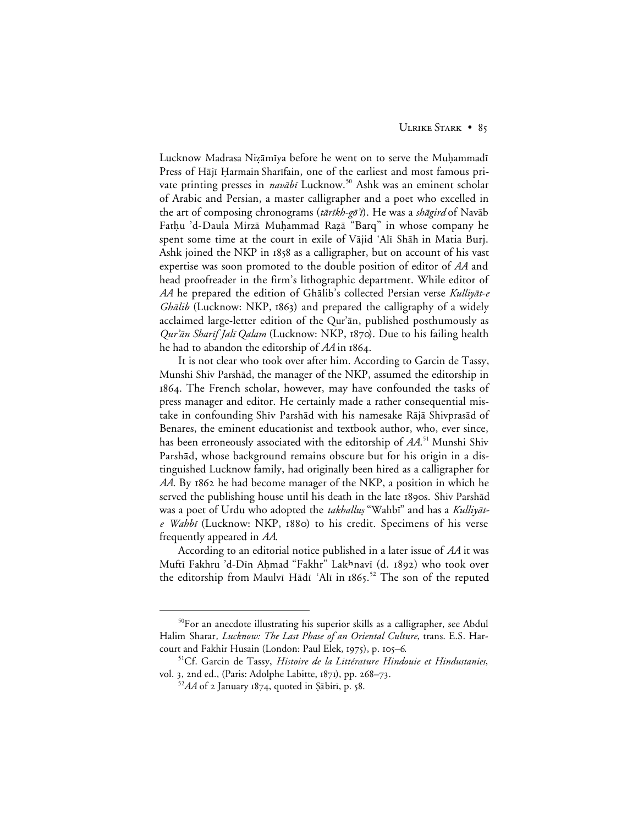Lucknow Madrasa Nizāmīya before he went on to serve the Muḥammadī Press of Hājī Ḥarmain Sharīfain, one of the earliest and most famous private printing presses in *navābī* Lucknow.<sup>50</sup> Ashk was an eminent scholar of Arabic and Persian, a master calligrapher and a poet who excelled in the art of composing chronograms (tārīkh-gō'ī). He was a shāgird of Navāb Fathu 'd-Daula Mirzā Muḥammad Razā "Barq" in whose company he spent some time at the court in exile of Vājid 'Alī Shāh in Matia Burj. Ashk joined the NKP in 1858 as a calligrapher, but on account of his vast expertise was soon promoted to the double position of editor of *AA* and head proofreader in the firm's lithographic department. While editor of *AA* he prepared the edition of Ghalib's collected Persian verse Kulliyat-e Ghālib (Lucknow: NKP, 1863) and prepared the calligraphy of a widely acclaimed large-letter edition of the Qur'ān, published posthumously as Qur'ān Sharīf Jalī Qalam (Lucknow: NKP, 1870). Due to his failing health he had to abandon the editorship of AA in 1864.

It is not clear who took over after him. According to Garcin de Tassy, Munshi Shiv Parshād, the manager of the NKP, assumed the editorship in . The French scholar, however, may have confounded the tasks of press manager and editor. He certainly made a rather consequential mistake in confounding Shīv Parshād with his namesake Rājā Shivprasād of Benares, the eminent educationist and textbook author, who, ever since, has been erroneously associated with the editorship of *AA*. <sup>51</sup> Munshi Shiv Parshād, whose background remains obscure but for his origin in a distinguished Lucknow family, had originally been hired as a calligrapher for *AA*. By 1862 he had become manager of the NKP, a position in which he served the publishing house until his death in the late 1890s. Shiv Parshad was a poet of Urdu who adopted the takhallus "Wahbi" and has a Kulliyāte Wahbī (Lucknow: NKP, 1880) to his credit. Specimens of his verse frequently appeared in *AA*.

According to an editorial notice published in a later issue of *AA* it was Muftī Fakhru 'd-Dīn Aḥmad "Fakhr" Lakhnavī (d. 1892) who took over the editorship from Maulvī Hādī 'Alī in 1865.<sup>52</sup> The son of the reputed

 <sup>50</sup>For an anecdote illustrating his superior skills as a calligrapher, see Abdul Halim Sharar*, Lucknow: The Last Phase of an Oriental Culture*, trans. E.S. Harcourt and Fakhir Husain (London: Paul Elek, 1975), p. 105-6.

<sup>51</sup>Cf. Garcin de Tassy, *Histoire de la Littérature Hindouie et Hindustanies*, vol. 3, 2nd ed., (Paris: Adolphe Labitte, 1871), pp. 268-73.

 $52AA$  of 2 January 1874, quoted in *Şabiri*, p. 58.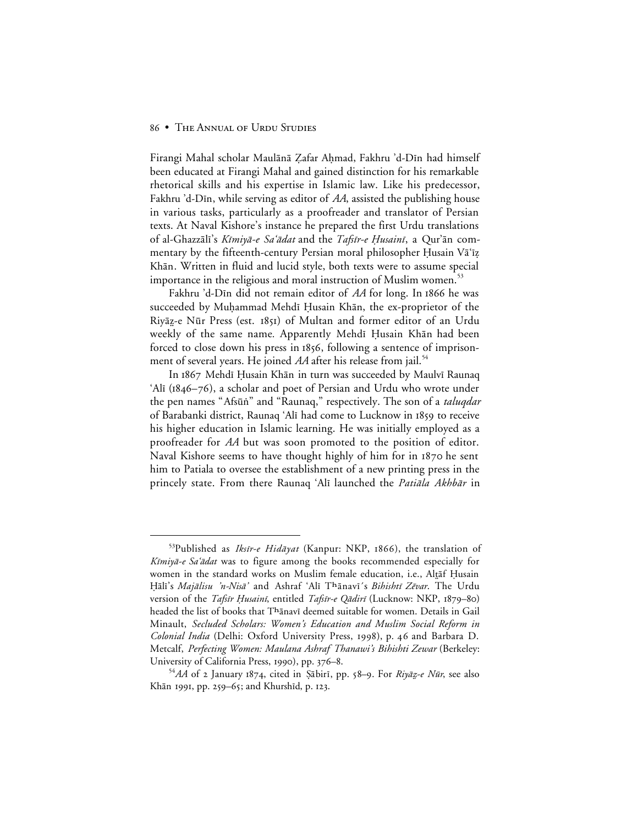Firangi Mahal scholar Maulānā Zafar Aḥmad, Fakhru 'd-Dīn had himself been educated at Firangi Mahal and gained distinction for his remarkable rhetorical skills and his expertise in Islamic law. Like his predecessor, Fakhru 'd-Din, while serving as editor of AA, assisted the publishing house in various tasks, particularly as a proofreader and translator of Persian texts. At Naval Kishore's instance he prepared the first Urdu translations of al-Ghazzālī's Kīmiyā-e Sa'ādat and the Tafsīr-e Husainī, a Qur'ān commentary by the fifteenth-century Persian moral philosopher Husain Va $i$ z Khān. Written in fluid and lucid style, both texts were to assume special importance in the religious and moral instruction of Muslim women.<sup>53</sup>

Fakhru 'd-Din did not remain editor of AA for long. In 1866 he was succeeded by Muhammad Mehdī Husain Khān, the ex-proprietor of the Riyāz-e Nūr Press (est. 1851) of Multan and former editor of an Urdu weekly of the same name. Apparently Mehdi Husain Khan had been forced to close down his press in 1856, following a sentence of imprisonment of several years. He joined *AA* after his release from jail.<sup>54</sup>

In 1867 Mehdī Husain Khān in turn was succeeded by Maulvī Raunaq 'Alī  $(1846 - 76)$ , a scholar and poet of Persian and Urdu who wrote under the pen names "Afsūn<sup>"</sup> and "Raunaq," respectively. The son of a *taluqdar* of Barabanki district, Raunaq 'Alī had come to Lucknow in 1859 to receive his higher education in Islamic learning. He was initially employed as a proofreader for *AA* but was soon promoted to the position of editor. Naval Kishore seems to have thought highly of him for in 1870 he sent him to Patiala to oversee the establishment of a new printing press in the princely state. From there Raunaq 'Alī launched the *Patiāla Akhbār* in

<sup>53</sup>Published as Iksir-e Hidāyat (Kanpur: NKP, 1866), the translation of Kīmiyā-e Sa'ādat was to figure among the books recommended especially for women in the standard works on Muslim female education, i.e., Altaf Husain Hālī's Majālisu 'n-Nisā' and Ashraf 'Alī Thānavī's Bihishtī Zēvar. The Urdu version of the *Tafsīr Ḥusainī*, entitled *Tafsīr-e Qādirī* (Lucknow: NKP, 1879–80) headed the list of books that Thanavi deemed suitable for women. Details in Gail Minault, *Secluded Scholars: Women's Education and Muslim Social Reform in Colonial India* (Delhi: Oxford University Press, 1998), p. 46 and Barbara D. Metcalf, *Perfecting Women: Maulana Ashraf Thanawi's Bihishti Zewar* (Berkeley: University of California Press, 1990), pp. 376–8.

<sup>&</sup>lt;sup>54</sup>AA of 2 January 1874, cited in Şābirī, pp. 58–9. For *Riyāz-e Nūr*, see also Khān 1991, pp. 259–65; and Khurshīd, p. 123.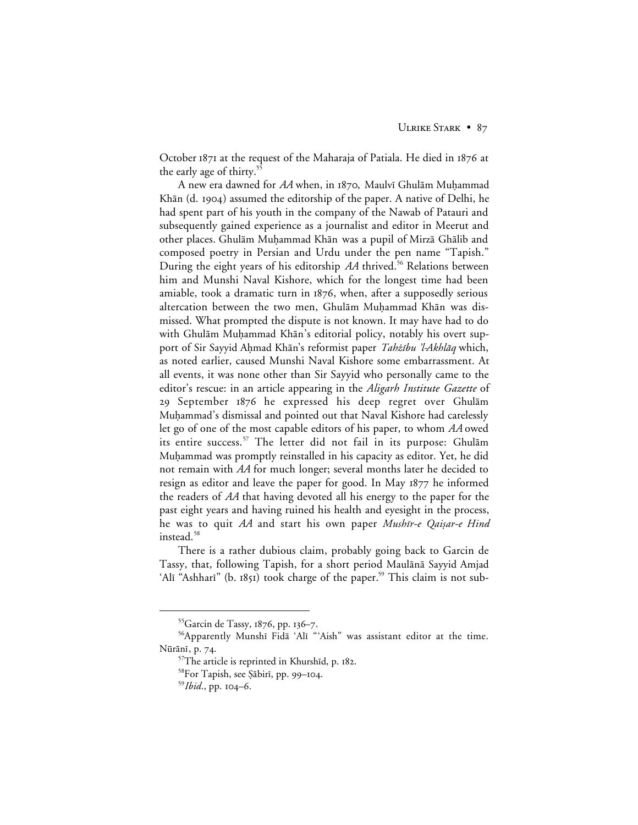October  $1871$  at the request of the Maharaja of Patiala. He died in  $1876$  at the early age of thirty.<sup>5</sup>

A new era dawned for *AA* when, in 1870, Maulvī Ghulām Muhammad Khān (d. 1904) assumed the editorship of the paper. A native of Delhi, he had spent part of his youth in the company of the Nawab of Patauri and subsequently gained experience as a journalist and editor in Meerut and other places. Ghulām Muḥammad Khān was a pupil of Mirzā Ghālib and composed poetry in Persian and Urdu under the pen name "Tapish." During the eight years of his editorship *AA* thrived.<sup>56</sup> Relations between him and Munshi Naval Kishore, which for the longest time had been amiable, took a dramatic turn in  $1876$ , when, after a supposedly serious altercation between the two men, Ghulām Muḥammad Khān was dismissed. What prompted the dispute is not known. It may have had to do with Ghulām Muḥammad Khān's editorial policy, notably his overt support of Sir Sayyid Ahmad Khān's reformist paper Tahżību 'l-Akhlāq which, as noted earlier, caused Munshi Naval Kishore some embarrassment. At all events, it was none other than Sir Sayyid who personally came to the editor's rescue: in an article appearing in the *Aligarh Institute Gazette* of 29 September 1876 he expressed his deep regret over Ghulam Muhammad's dismissal and pointed out that Naval Kishore had carelessly let go of one of the most capable editors of his paper, to whom *AA* owed its entire success.<sup>57</sup> The letter did not fail in its purpose: Ghulam Muḥammad was promptly reinstalled in his capacity as editor. Yet, he did not remain with *AA* for much longer; several months later he decided to resign as editor and leave the paper for good. In May  $1877$  he informed the readers of *AA* that having devoted all his energy to the paper for the past eight years and having ruined his health and eyesight in the process, he was to quit *AA* and start his own paper *Mushir-e Qaisar-e Hind* instead.<sup>58</sup>

There is a rather dubious claim, probably going back to Garcin de Tassy, that, following Tapish, for a short period Maulānā Sayyid Amjad 'Alī "Ashharī" (b. 1851) took charge of the paper.<sup>59</sup> This claim is not sub-

<sup>55</sup> Garcin de Tassy, 1876, pp. 136-7.

<sup>&</sup>lt;sup>56</sup>Apparently Munshī Fidā 'Alī "'Aish" was assistant editor at the time. Nūrānī, p. 74.

 $57$ The article is reprinted in Khurshīd, p. 182.

<sup>&</sup>lt;sup>58</sup>For Tapish, see Şābirī, pp. 99–104.

<sup>&</sup>lt;sup>59</sup>*Ibid.*, pp. 104-6.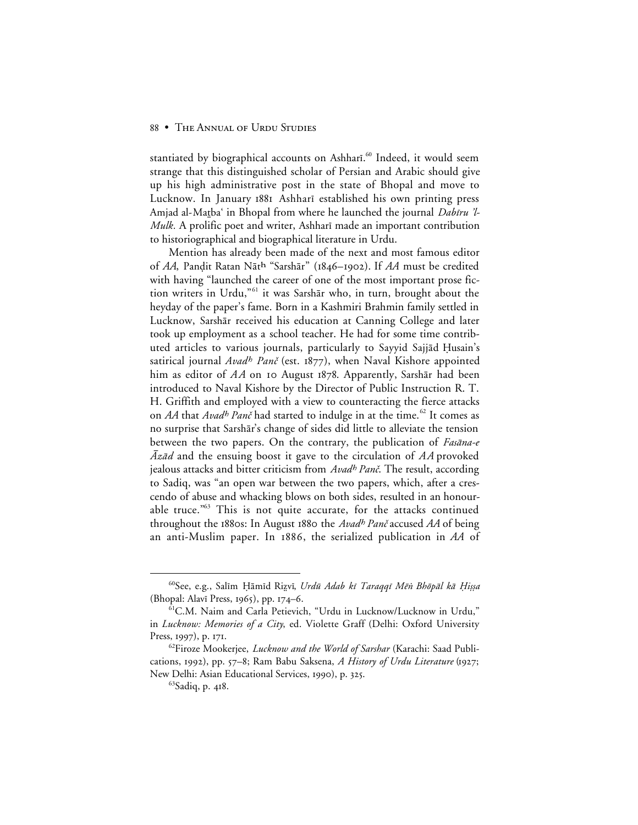stantiated by biographical accounts on Ashharī.<sup>60</sup> Indeed, it would seem strange that this distinguished scholar of Persian and Arabic should give up his high administrative post in the state of Bhopal and move to Lucknow. In January 1881 Ashhari established his own printing press Amjad al-Matba' in Bhopal from where he launched the journal Dabīru 'l-Mulk. A prolific poet and writer, Ashhari made an important contribution to historiographical and biographical literature in Urdu.

Mention has already been made of the next and most famous editor of *AA*, Pandit Ratan Nāth "Sarshār" (1846-1902). If *AA* must be credited with having "launched the career of one of the most important prose fiction writers in Urdu,"<sup>61</sup> it was Sarshār who, in turn, brought about the heyday of the paper's fame. Born in a Kashmiri Brahmin family settled in Lucknow, Sarshār received his education at Canning College and later took up employment as a school teacher. He had for some time contributed articles to various journals, particularly to Sayyid Sajjād Ḥusain's satirical journal  $Avad^h$  Panč (est. 1877), when Naval Kishore appointed him as editor of  $AA$  on 10 August 1878. Apparently, Sarshār had been introduced to Naval Kishore by the Director of Public Instruction R. T. H. Griffith and employed with a view to counteracting the fierce attacks on *AA* that *Avadh Panč* had started to indulge in at the time.<sup>62</sup> It comes as no surprise that Sarshar's change of sides did little to alleviate the tension between the two papers. On the contrary, the publication of Fasana-e Az $\bar{a}d$  and the ensuing boost it gave to the circulation of AA provoked jealous attacks and bitter criticism from Avadh Panč. The result, according to Sadiq, was "an open war between the two papers, which, after a crescendo of abuse and whacking blows on both sides, resulted in an honourable truce."<sup>63</sup> This is not quite accurate, for the attacks continued throughout the 1880s: In August 1880 the *Avadh Panč* accused *AA* of being an anti-Muslim paper. In 1886, the serialized publication in *AA* of

<sup>60</sup>See, e.g., Salīm Ḥāmīd Rizvī, Urdū Adab kī Taraqqī Mēn Bhōpāl kā Ḥiṣṣa (Bhopal: Alavī Press, 1965), pp. 174–6.

<sup>61</sup>C.M. Naim and Carla Petievich, "Urdu in Lucknow/Lucknow in Urdu," in *Lucknow: Memories of a City*, ed. Violette Graff (Delhi: Oxford University Press, 1997), p. 171.

<sup>62</sup>Firoze Mookerjee, *Lucknow and the World of Sarshar* (Karachi: Saad Publications, 1992), pp. 57–8; Ram Babu Saksena, *A History of Urdu Literature* (1927; New Delhi: Asian Educational Services, 1990), p. 325.

<sup>&</sup>lt;sup>63</sup>Sadiq, p. 418.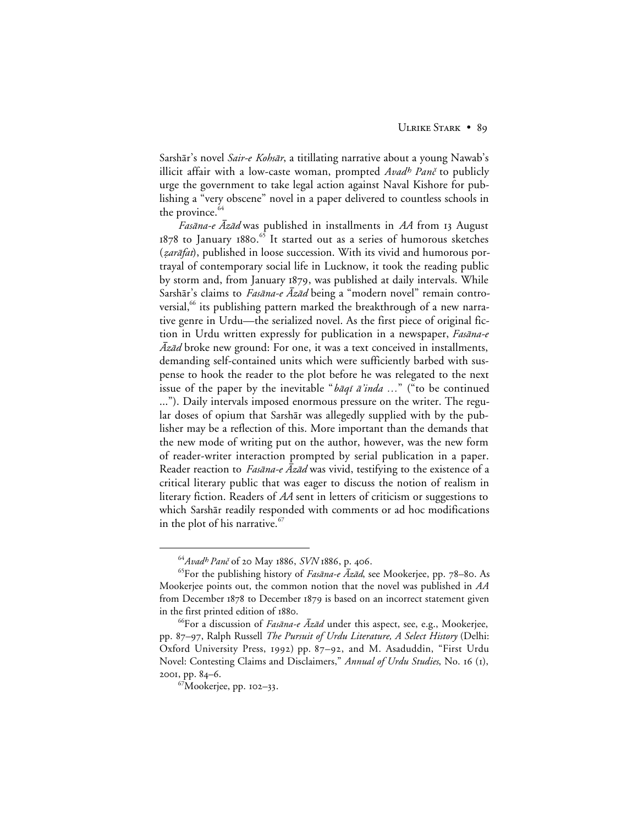Sarshār's novel *Sair-e Kohsār*, a titillating narrative about a young Nawab's illicit affair with a low-caste woman, prompted Avadh Panč to publicly urge the government to take legal action against Naval Kishore for publishing a "very obscene" novel in a paper delivered to countless schools in the province.<sup>64</sup>

*Fasāna-e Āzād* was published in installments in *AA* from 13 August 1878 to January 1880.<sup>65</sup> It started out as a series of humorous sketches (zarāfat), published in loose succession. With its vivid and humorous portrayal of contemporary social life in Lucknow, it took the reading public by storm and, from January 1879, was published at daily intervals. While Sarshār's claims to *Fasāna-e Āzād* being a "modern novel" remain controversial, $\frac{66}{10}$  its publishing pattern marked the breakthrough of a new narrative genre in Urdu—the serialized novel. As the first piece of original fiction in Urdu written expressly for publication in a newspaper, Fasana-e  $\bar{A}z\bar{a}d$  broke new ground: For one, it was a text conceived in installments, demanding self-contained units which were sufficiently barbed with suspense to hook the reader to the plot before he was relegated to the next issue of the paper by the inevitable "*baqi a'inda* ..." ("to be continued ..."). Daily intervals imposed enormous pressure on the writer. The regular doses of opium that Sarshar was allegedly supplied with by the publisher may be a reflection of this. More important than the demands that the new mode of writing put on the author, however, was the new form of reader-writer interaction prompted by serial publication in a paper. Reader reaction to  $Fas\bar{a}na-e\bar{A}z\bar{a}d$  was vivid, testifying to the existence of a critical literary public that was eager to discuss the notion of realism in literary fiction. Readers of *AA* sent in letters of criticism or suggestions to which Sarshār readily responded with comments or ad hoc modifications in the plot of his narrative.<sup>67</sup>

<sup>&</sup>lt;sup>64</sup> Avadh Panč of 20 May 1886, *SVN* 1886, p. 406.

<sup>65</sup>For the publishing history of Fasāna-e Āzād, see Mookerjee, pp. 78-80. As Mookerjee points out, the common notion that the novel was published in *AA* from December 1878 to December 1879 is based on an incorrect statement given in the first printed edition of 1880.

<sup>&</sup>lt;sup>66</sup>For a discussion of *Fasāna-e Āzād* under this aspect, see, e.g., Mookerjee, pp. 87-97, Ralph Russell *The Pursuit of Urdu Literature, A Select History* (Delhi: Oxford University Press, 1992) pp. 87–92, and M. Asaduddin, "First Urdu Novel: Contesting Claims and Disclaimers," *Annual of Urdu Studies*, No. 16 (1), 2001, pp. 84-6.

 $67$ Mookerjee, pp. 102-33.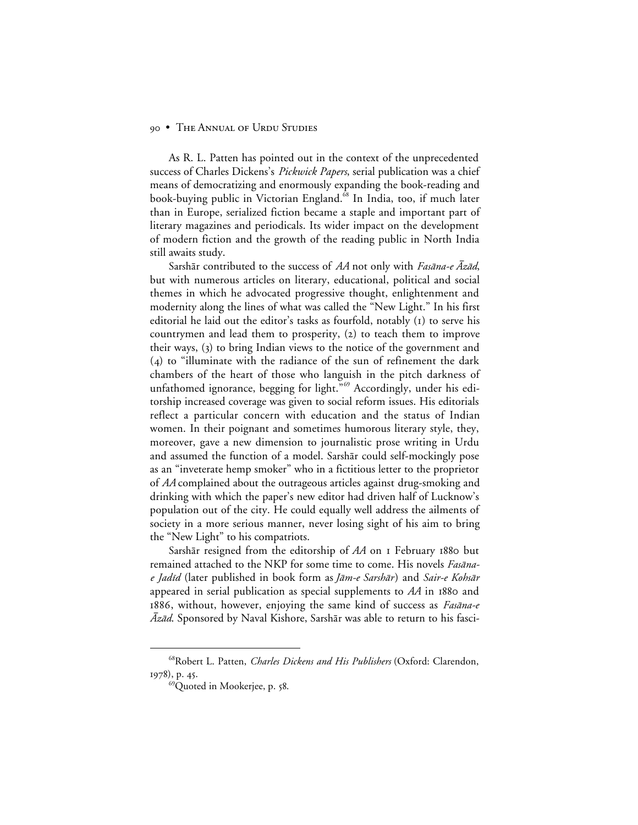As R. L. Patten has pointed out in the context of the unprecedented success of Charles Dickens's *Pickwick Papers*, serial publication was a chief means of democratizing and enormously expanding the book-reading and book-buying public in Victorian England.<sup>68</sup> In India, too, if much later than in Europe, serialized fiction became a staple and important part of literary magazines and periodicals. Its wider impact on the development of modern fiction and the growth of the reading public in North India still awaits study.

Sarshār contributed to the success of *AA* not only with *Fasāna-e Āzād*, but with numerous articles on literary, educational, political and social themes in which he advocated progressive thought, enlightenment and modernity along the lines of what was called the "New Light." In his first editorial he laid out the editor's tasks as fourfold, notably  $(i)$  to serve his countrymen and lead them to prosperity,  $(2)$  to teach them to improve their ways, (3) to bring Indian views to the notice of the government and  $(4)$  to "illuminate with the radiance of the sun of refinement the dark chambers of the heart of those who languish in the pitch darkness of unfathomed ignorance, begging for light."<sup>69</sup> Accordingly, under his editorship increased coverage was given to social reform issues. His editorials reflect a particular concern with education and the status of Indian women. In their poignant and sometimes humorous literary style, they, moreover, gave a new dimension to journalistic prose writing in Urdu and assumed the function of a model. Sarshar could self-mockingly pose as an "inveterate hemp smoker" who in a fictitious letter to the proprietor of *AA* complained about the outrageous articles against drug-smoking and drinking with which the paper's new editor had driven half of Lucknow's population out of the city. He could equally well address the ailments of society in a more serious manner, never losing sight of his aim to bring the "New Light" to his compatriots.

Sarshār resigned from the editorship of *AA* on I February 1880 but remained attached to the NKP for some time to come. His novels Fasanae Jadīd (later published in book form as Jām-e Sarshār) and Sair-e Kohsār appeared in serial publication as special supplements to  $AA$  in 1880 and 1886, without, however, enjoying the same kind of success as *Fasana-e*  $\bar{Az}\bar{a}d$ . Sponsored by Naval Kishore, Sarshār was able to return to his fasci-

 <sup>68</sup>Robert L. Patten, *Charles Dickens and His Publishers* (Oxford: Clarendon, 1978), p. 45.

<sup>&</sup>lt;sup>69</sup>Quoted in Mookerjee, p. 58.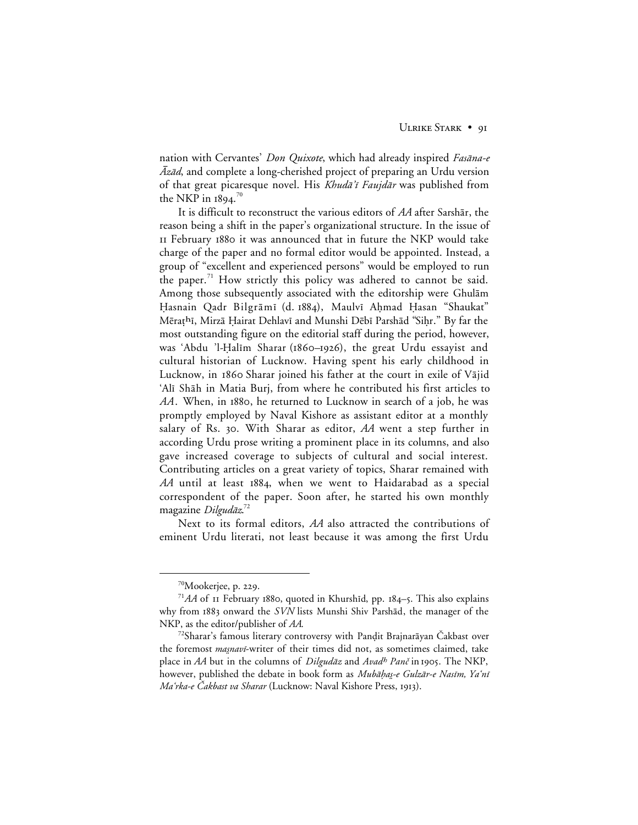nation with Cervantes' *Don Quixote*, which had already inspired *Fasāna-e*  $\bar{A}z\bar{a}d$ , and complete a long-cherished project of preparing an Urdu version of that great picaresque novel. His Khudā'ī Faujdār was published from the NKP in 1894. $^{70}$ 

It is difficult to reconstruct the various editors of *AA* after Sarshar, the reason being a shift in the paper's organizational structure. In the issue of II February 1880 it was announced that in future the NKP would take charge of the paper and no formal editor would be appointed. Instead, a group of "excellent and experienced persons" would be employed to run the paper.<sup>71</sup> How strictly this policy was adhered to cannot be said. Among those subsequently associated with the editorship were Ghulām Hasnain Qadr Bilgrāmī (d. 1884), Maulvī Ahmad Hasan "Shaukat" Mērațhī, Mirzā Ḥairat Dehlavī and Munshi Dēbī Parshād "Siḥr." By far the most outstanding figure on the editorial staff during the period, however, was 'Abdu 'l-Halīm Sharar (1860–1926), the great Urdu essayist and cultural historian of Lucknow. Having spent his early childhood in Lucknow, in 1860 Sharar joined his father at the court in exile of Vajid 'Alī Shāh in Matia Burj, from where he contributed his first articles to *AA*. When, in 1880, he returned to Lucknow in search of a job, he was promptly employed by Naval Kishore as assistant editor at a monthly salary of Rs. 30. With Sharar as editor, AA went a step further in according Urdu prose writing a prominent place in its columns, and also gave increased coverage to subjects of cultural and social interest. Contributing articles on a great variety of topics, Sharar remained with AA until at least 1884, when we went to Haidarabad as a special correspondent of the paper. Soon after, he started his own monthly magazine Dilgudāz.<sup>72</sup>

Next to its formal editors, *AA* also attracted the contributions of eminent Urdu literati, not least because it was among the first Urdu

<sup>&</sup>lt;sup>70</sup>Mookerjee, p. 229.

 $71AA$  of II February 1880, quoted in Khurshid, pp. 184-5. This also explains why from 1883 onward the *SVN* lists Munshi Shiv Parshad, the manager of the NKP, as the editor/publisher of *AA*.

<sup>&</sup>lt;sup>72</sup>Sharar's famous literary controversy with Pandit Brajnarāyan Čakbast over the foremost *masnavi*-writer of their times did not, as sometimes claimed, take place in *AA* but in the columns of *Dilgudāz* and *Avadh Panč* in 1905. The NKP, however, published the debate in book form as *Mubāḥaş-e Gulzār-e Nasīm, Yaʻnī* Ma'rka-e Čakbast va Sharar (Lucknow: Naval Kishore Press, 1913).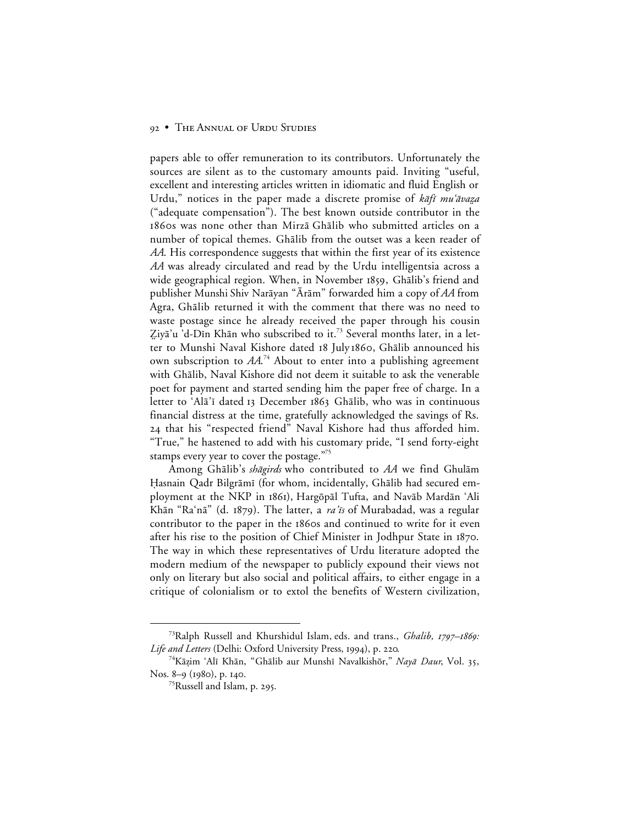papers able to offer remuneration to its contributors. Unfortunately the sources are silent as to the customary amounts paid. Inviting "useful, excellent and interesting articles written in idiomatic and fluid English or Urdu," notices in the paper made a discrete promise of kafi mu'avaza ("adequate compensation"). The best known outside contributor in the 1860s was none other than Mirzā Ghālib who submitted articles on a number of topical themes. Ghālib from the outset was a keen reader of *AA*. His correspondence suggests that within the first year of its existence *AA* was already circulated and read by the Urdu intelligentsia across a wide geographical region. When, in November 1859, Ghālib's friend and publisher Munshi Shiv Narāyan "Ārām" forwarded him a copy of *AA* from Agra, Ghālib returned it with the comment that there was no need to waste postage since he already received the paper through his cousin Ziyā'u 'd-Dīn Khān who subscribed to it.<sup>73</sup> Several months later, in a letter to Munshi Naval Kishore dated 18 July 1860, Ghālib announced his own subscription to *AA*. <sup>74</sup> About to enter into a publishing agreement with Ghālib, Naval Kishore did not deem it suitable to ask the venerable poet for payment and started sending him the paper free of charge. In a letter to 'Alā'ī dated 13 December 1863 Ghālib, who was in continuous financial distress at the time, gratefully acknowledged the savings of Rs. 24 that his "respected friend" Naval Kishore had thus afforded him. "True," he hastened to add with his customary pride, "I send forty-eight stamps every year to cover the postage."75

Among Ghālib's shāgirds who contributed to AA we find Ghulām Hasnain Qadr Bilgrāmī (for whom, incidentally, Ghālib had secured employment at the NKP in 1861), Hargōpāl Tufta, and Navāb Mardān 'Ali Khān "Ra'nā" (d. 1879). The latter, a ra'is of Murabadad, was a regular contributor to the paper in the 1860s and continued to write for it even after his rise to the position of Chief Minister in Jodhpur State in 1870. The way in which these representatives of Urdu literature adopted the modern medium of the newspaper to publicly expound their views not only on literary but also social and political affairs, to either engage in a critique of colonialism or to extol the benefits of Western civilization,

<sup>&</sup>lt;sup>73</sup>Ralph Russell and Khurshidul Islam, eds. and trans., *Ghalib, 1797-1869:* Life and Letters (Delhi: Oxford University Press, 1994), p. 220.

<sup>&</sup>lt;sup>74</sup>Kāzim 'Alī Khān, "Ghālib aur Munshī Navalkishōr," *Nayā Daur*, Vol. 35, Nos. 8–9 (1980), p. 140.

<sup>&</sup>lt;sup>75</sup>Russell and Islam, p. 295.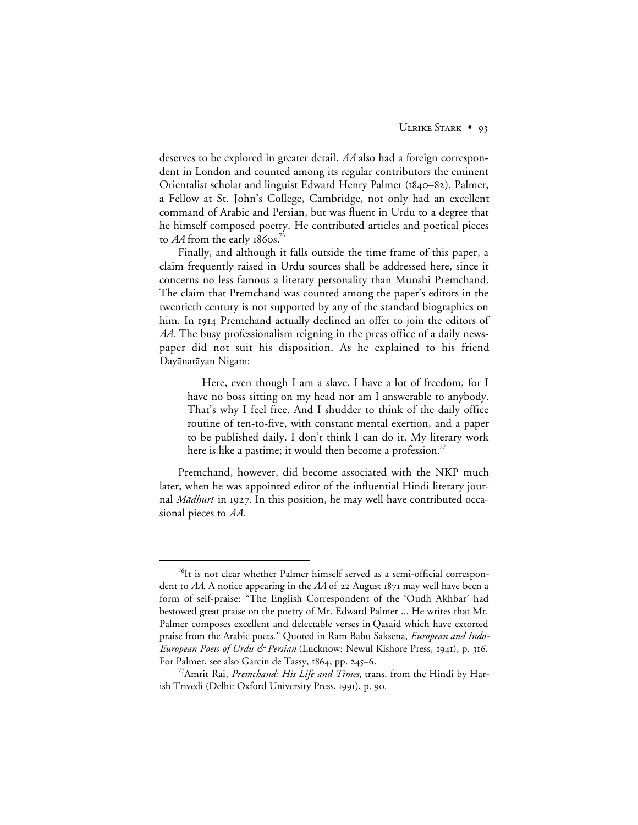deserves to be explored in greater detail. *AA* also had a foreign correspondent in London and counted among its regular contributors the eminent Orientalist scholar and linguist Edward Henry Palmer (1840–82). Palmer, a Fellow at St. John's College, Cambridge, not only had an excellent command of Arabic and Persian, but was fluent in Urdu to a degree that he himself composed poetry. He contributed articles and poetical pieces to  $AA$  from the early 1860s.<sup>76</sup>

Finally, and although it falls outside the time frame of this paper, a claim frequently raised in Urdu sources shall be addressed here, since it concerns no less famous a literary personality than Munshi Premchand. The claim that Premchand was counted among the paper's editors in the twentieth century is not supported by any of the standard biographies on him. In 1914 Premchand actually declined an offer to join the editors of *AA*. The busy professionalism reigning in the press office of a daily newspaper did not suit his disposition. As he explained to his friend Dayānarāyan Nigam:

Here, even though I am a slave, I have a lot of freedom, for I have no boss sitting on my head nor am I answerable to anybody. That's why I feel free. And I shudder to think of the daily office routine of ten-to-five, with constant mental exertion, and a paper to be published daily. I don't think I can do it. My literary work here is like a pastime; it would then become a profession.<sup>77</sup>

Premchand, however, did become associated with the NKP much later, when he was appointed editor of the influential Hindi literary journal *Mādhurī* in 1927. In this position, he may well have contributed occasional pieces to *AA*.

<sup>&</sup>lt;sup>76</sup>It is not clear whether Palmer himself served as a semi-official correspondent to AA. A notice appearing in the AA of 22 August 1871 may well have been a form of self-praise: "The English Correspondent of the 'Oudh Akhbar' had bestowed great praise on the poetry of Mr. Edward Palmer ... He writes that Mr. Palmer composes excellent and delectable verses in Qasaid which have extorted praise from the Arabic poets." Quoted in Ram Babu Saksena, *European and Indo-European Poets of Urdu & Persian* (Lucknow: Newul Kishore Press, 1941), p. 316. For Palmer, see also Garcin de Tassy, 1864, pp. 245–6.

<sup>77</sup>Amrit Rai, *Premchand: His Life and Times*, trans. from the Hindi by Harish Trivedi (Delhi: Oxford University Press, 1991), p. 90.